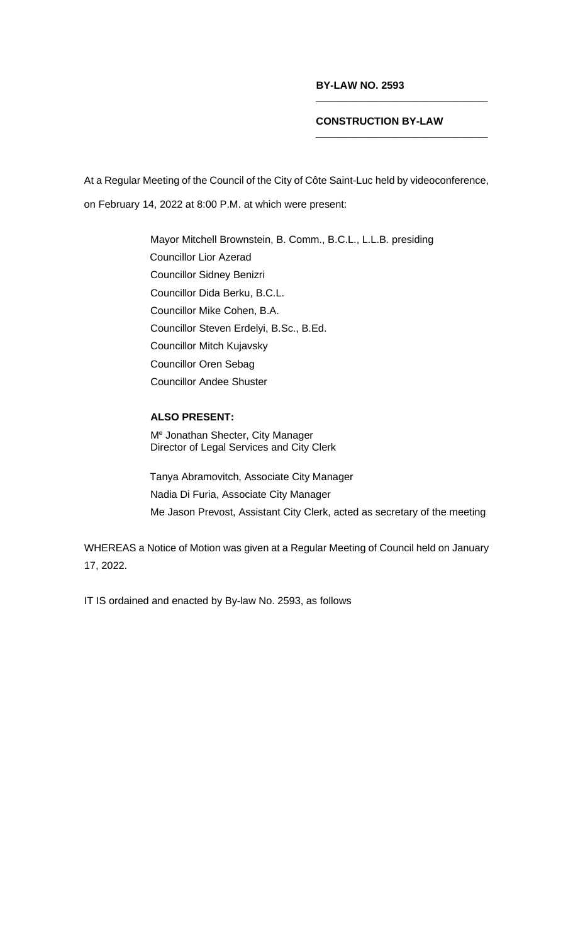## **BY-LAW NO. 2593**

## **CONSTRUCTION BY-LAW**

**\_\_\_\_\_\_\_\_\_\_\_\_\_\_\_\_\_\_\_\_\_\_\_\_\_\_\_\_\_\_**

**\_\_\_\_\_\_\_\_\_\_\_\_\_\_\_\_\_\_\_\_\_\_\_\_\_\_\_\_\_\_**

At a Regular Meeting of the Council of the City of Côte Saint-Luc held by videoconference, on February 14, 2022 at 8:00 P.M. at which were present:

> Mayor Mitchell Brownstein, B. Comm., B.C.L., L.L.B. presiding Councillor Lior Azerad Councillor Sidney Benizri Councillor Dida Berku, B.C.L. Councillor Mike Cohen, B.A. Councillor Steven Erdelyi, B.Sc., B.Ed. Councillor Mitch Kujavsky Councillor Oren Sebag Councillor Andee Shuster

## **ALSO PRESENT:**

Me Jonathan Shecter, City Manager Director of Legal Services and City Clerk

Tanya Abramovitch, Associate City Manager Nadia Di Furia, Associate City Manager Me Jason Prevost, Assistant City Clerk, acted as secretary of the meeting

WHEREAS a Notice of Motion was given at a Regular Meeting of Council held on January 17, 2022.

IT IS ordained and enacted by By-law No. 2593, as follows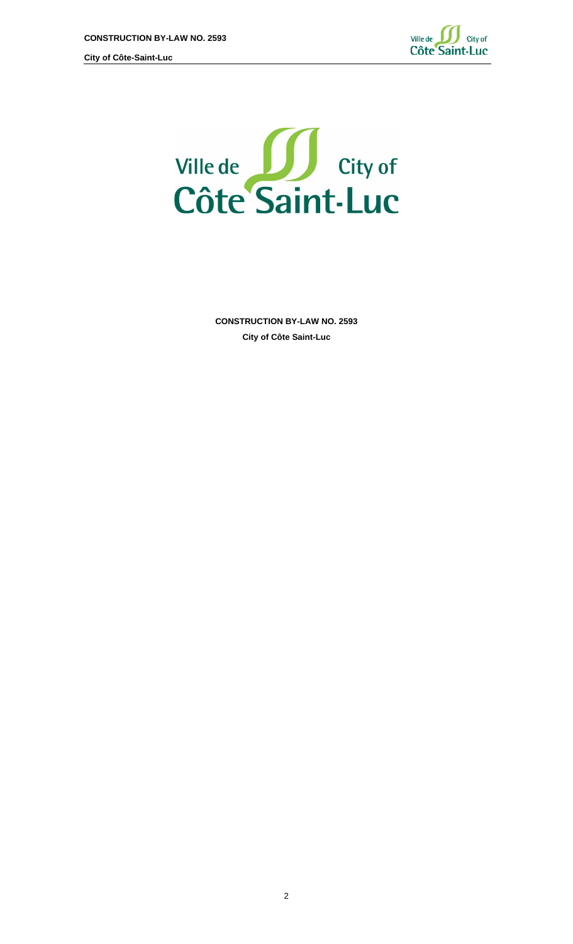



**CONSTRUCTION BY-LAW NO. 2593 City of Côte Saint-Luc**

2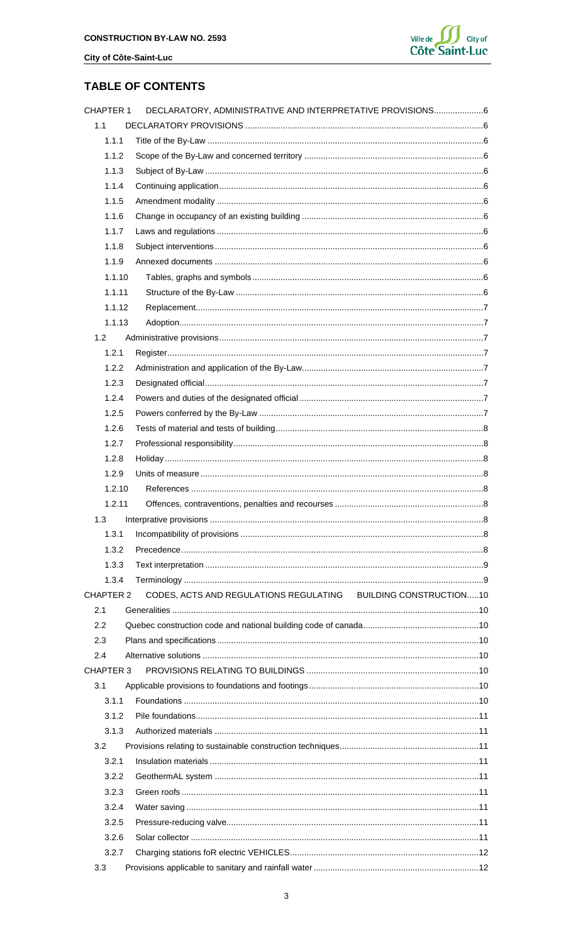

## **TABLE OF CONTENTS**

| <b>CHAPTER 1</b> | DECLARATORY, ADMINISTRATIVE AND INTERPRETATIVE PROVISIONS6     |  |
|------------------|----------------------------------------------------------------|--|
| 1.1              |                                                                |  |
| 1.1.1            |                                                                |  |
| 1.1.2            |                                                                |  |
| 1.1.3            |                                                                |  |
| 1.1.4            |                                                                |  |
| 1.1.5            |                                                                |  |
| 1.1.6            |                                                                |  |
| 1.1.7            |                                                                |  |
| 1.1.8            |                                                                |  |
| 1.1.9            |                                                                |  |
| 1.1.10           |                                                                |  |
| 1.1.11           |                                                                |  |
| 1.1.12           |                                                                |  |
| 1.1.13           |                                                                |  |
| 1.2              |                                                                |  |
| 1.2.1            |                                                                |  |
| 1.2.2            |                                                                |  |
| 1.2.3            |                                                                |  |
| 1.2.4            |                                                                |  |
| 1.2.5            |                                                                |  |
| 1.2.6            |                                                                |  |
| 1.2.7            |                                                                |  |
| 1.2.8            |                                                                |  |
| 1.2.9            |                                                                |  |
| 1.2.10           |                                                                |  |
| 1.2.11           |                                                                |  |
| 1.3              |                                                                |  |
| 1.3.1            |                                                                |  |
| 1.3.2            |                                                                |  |
| 1.3.3            |                                                                |  |
| 1.3.4            |                                                                |  |
| <b>CHAPTER 2</b> | CODES, ACTS AND REGULATIONS REGULATING BUILDING CONSTRUCTION10 |  |
| 2.1              |                                                                |  |
| 2.2              |                                                                |  |
| 2.3              |                                                                |  |
| 2.4              |                                                                |  |
| <b>CHAPTER 3</b> |                                                                |  |
| 3.1              |                                                                |  |
| 3.1.1            |                                                                |  |
| 3.1.2            |                                                                |  |
| 3.1.3            |                                                                |  |
| 3.2              |                                                                |  |
| 3.2.1            |                                                                |  |
| 3.2.2            |                                                                |  |
| 3.2.3            |                                                                |  |
| 3.2.4            |                                                                |  |
| 3.2.5            |                                                                |  |
| 3.2.6            |                                                                |  |
| 3.2.7            |                                                                |  |
| 3.3              |                                                                |  |
|                  |                                                                |  |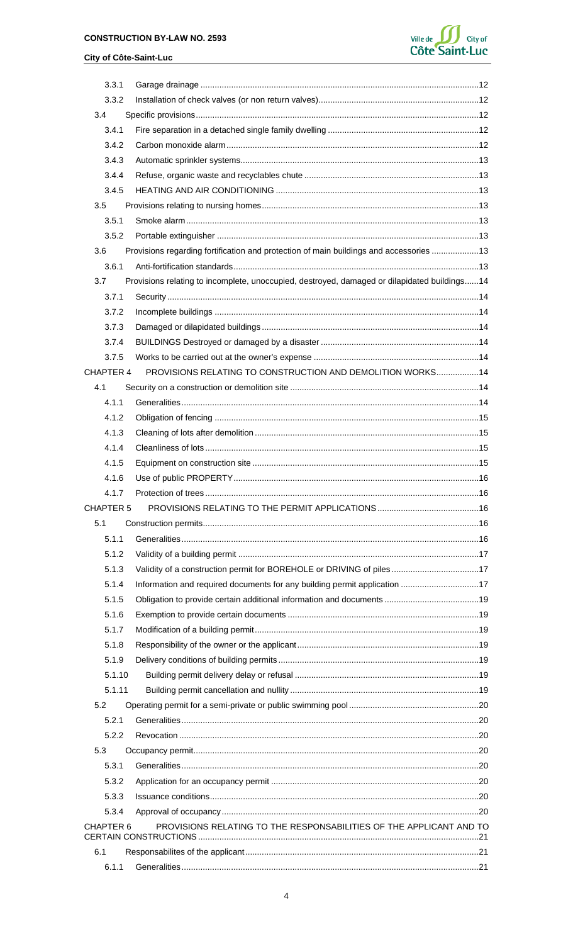## **CONSTRUCTION BY-LAW NO. 2593**

## City of Côte-Saint-Luc



| 3.3.1            |                                                                                              |  |
|------------------|----------------------------------------------------------------------------------------------|--|
| 3.3.2            |                                                                                              |  |
| 3.4              |                                                                                              |  |
| 3.4.1            |                                                                                              |  |
| 3.4.2            |                                                                                              |  |
| 3.4.3            |                                                                                              |  |
| 3.4.4            |                                                                                              |  |
| 3.4.5            |                                                                                              |  |
| 3.5              |                                                                                              |  |
| 3.5.1            |                                                                                              |  |
| 3.5.2            |                                                                                              |  |
| 3.6              | Provisions regarding fortification and protection of main buildings and accessories  13      |  |
| 3.6.1            |                                                                                              |  |
| 3.7              | Provisions relating to incomplete, unoccupied, destroyed, damaged or dilapidated buildings14 |  |
| 3.7.1            |                                                                                              |  |
| 3.7.2            |                                                                                              |  |
| 3.7.3            |                                                                                              |  |
| 3.7.4            |                                                                                              |  |
| 3.7.5            |                                                                                              |  |
| CHAPTER 4        | PROVISIONS RELATING TO CONSTRUCTION AND DEMOLITION WORKS 14                                  |  |
| 4.1              |                                                                                              |  |
| 4.1.1            |                                                                                              |  |
| 4.1.2            |                                                                                              |  |
| 4.1.3            |                                                                                              |  |
| 4.1.4            |                                                                                              |  |
| 4.1.5            |                                                                                              |  |
| 4.1.6            |                                                                                              |  |
| 417              | . 16<br>Protection of trees.                                                                 |  |
| <b>CHAPTER 5</b> |                                                                                              |  |
| 5.1              |                                                                                              |  |
| 5.1.1            |                                                                                              |  |
| 5.1.2            |                                                                                              |  |
| 5.1.3            | Validity of a construction permit for BOREHOLE or DRIVING of piles17                         |  |
| 5.1.4            | Information and required documents for any building permit application 17                    |  |
| 5.1.5            |                                                                                              |  |
| 5.1.6            |                                                                                              |  |
| 5.1.7            |                                                                                              |  |
| 5.1.8            |                                                                                              |  |
| 5.1.9            |                                                                                              |  |
| 5.1.10           |                                                                                              |  |
| 5.1.11           |                                                                                              |  |
| 5.2              |                                                                                              |  |
| 5.2.1            |                                                                                              |  |
| 5.2.2            |                                                                                              |  |
| 5.3              |                                                                                              |  |
| 5.3.1            |                                                                                              |  |
| 5.3.2            |                                                                                              |  |
| 5.3.3            |                                                                                              |  |
| 5.3.4            |                                                                                              |  |
| CHAPTER 6        | PROVISIONS RELATING TO THE RESPONSABILITIES OF THE APPLICANT AND TO                          |  |
| 6.1              |                                                                                              |  |
|                  |                                                                                              |  |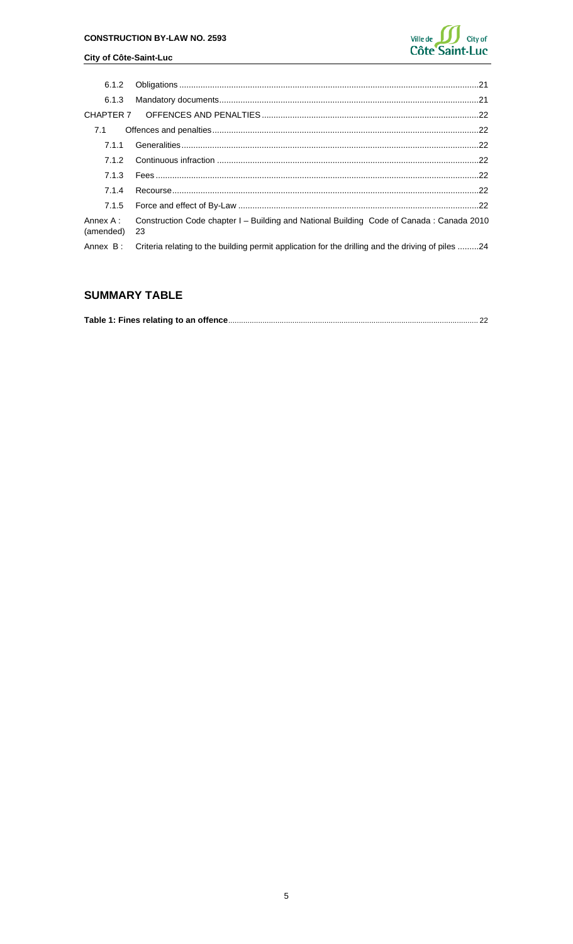

| 6.1.2                 |                                                                                                   |  |
|-----------------------|---------------------------------------------------------------------------------------------------|--|
| 6.1.3                 |                                                                                                   |  |
|                       |                                                                                                   |  |
| 7.1                   |                                                                                                   |  |
| 7.1.1                 |                                                                                                   |  |
| 7.1.2                 |                                                                                                   |  |
| 7.1.3                 |                                                                                                   |  |
| 7.1.4                 |                                                                                                   |  |
| 7.1.5                 |                                                                                                   |  |
| Annex A:<br>(amended) | Construction Code chapter I - Building and National Building Code of Canada: Canada 2010<br>-23   |  |
| Annex B:              | Criteria relating to the building permit application for the drilling and the driving of piles 24 |  |
|                       |                                                                                                   |  |

# **SUMMARY TABLE**

|--|--|--|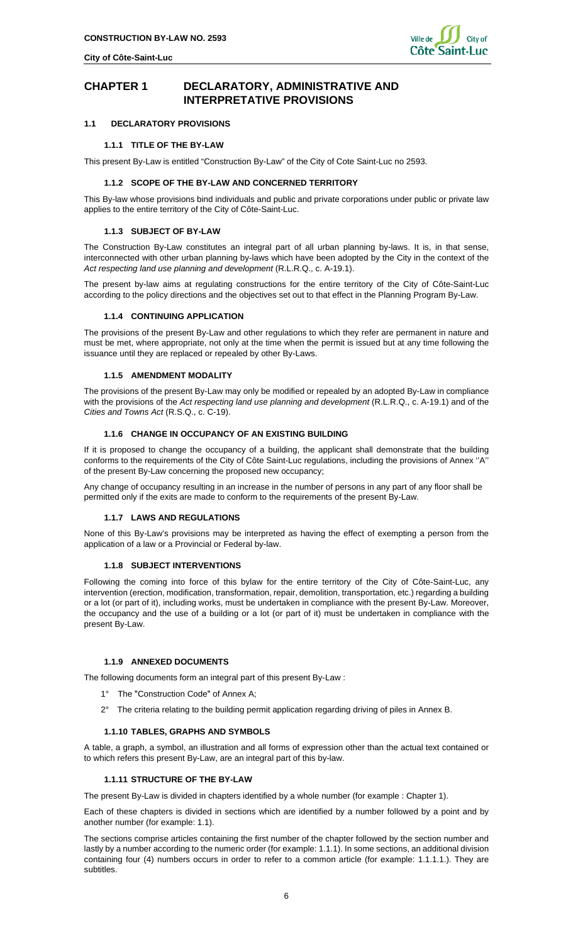

## <span id="page-5-0"></span>**CHAPTER 1 DECLARATORY, ADMINISTRATIVE AND INTERPRETATIVE PROVISIONS**

## <span id="page-5-2"></span><span id="page-5-1"></span>**1.1 DECLARATORY PROVISIONS**

### **1.1.1 TITLE OF THE BY-LAW**

<span id="page-5-3"></span>This present By-Law is entitled "Construction By-Law" of the City of Cote Saint-Luc no 2593.

#### **1.1.2 SCOPE OF THE BY-LAW AND CONCERNED TERRITORY**

This By-law whose provisions bind individuals and public and private corporations under public or private law applies to the entire territory of the City of Côte-Saint-Luc.

#### <span id="page-5-4"></span>**1.1.3 SUBJECT OF BY-LAW**

The Construction By-Law constitutes an integral part of all urban planning by-laws. It is, in that sense, interconnected with other urban planning by-laws which have been adopted by the City in the context of the *Act respecting land use planning and development* (R.L.R.Q., c. A-19.1).

The present by-law aims at regulating constructions for the entire territory of the City of Côte-Saint-Luc according to the policy directions and the objectives set out to that effect in the Planning Program By-Law.

#### <span id="page-5-5"></span>**1.1.4 CONTINUING APPLICATION**

The provisions of the present By-Law and other regulations to which they refer are permanent in nature and must be met, where appropriate, not only at the time when the permit is issued but at any time following the issuance until they are replaced or repealed by other By-Laws.

#### **1.1.5 AMENDMENT MODALITY**

<span id="page-5-6"></span>The provisions of the present By-Law may only be modified or repealed by an adopted By-Law in compliance with the provisions of the *Act respecting land use planning and development* (R.L.R.Q., c. A-19.1) and of the *Cities and Towns Act* (R.S.Q., c. C-19).

#### <span id="page-5-7"></span>**1.1.6 CHANGE IN OCCUPANCY OF AN EXISTING BUILDING**

If it is proposed to change the occupancy of a building, the applicant shall demonstrate that the building conforms to the requirements of the City of Côte Saint-Luc regulations, including the provisions of Annex ''A'' of the present By-Law concerning the proposed new occupancy;

<span id="page-5-8"></span>Any change of occupancy resulting in an increase in the number of persons in any part of any floor shall be permitted only if the exits are made to conform to the requirements of the present By-Law.

#### **1.1.7 LAWS AND REGULATIONS**

None of this By-Law's provisions may be interpreted as having the effect of exempting a person from the application of a law or a Provincial or Federal by-law.

#### **1.1.8 SUBJECT INTERVENTIONS**

<span id="page-5-9"></span>Following the coming into force of this bylaw for the entire territory of the City of Côte-Saint-Luc, any intervention (erection, modification, transformation, repair, demolition, transportation, etc.) regarding a building or a lot (or part of it), including works, must be undertaken in compliance with the present By-Law. Moreover, the occupancy and the use of a building or a lot (or part of it) must be undertaken in compliance with the present By-Law.

#### **1.1.9 ANNEXED DOCUMENTS**

<span id="page-5-10"></span>The following documents form an integral part of this present By-Law :

- 1° The "Construction Code" of Annex A;
- 2° The criteria relating to the building permit application regarding driving of piles in Annex B.

#### <span id="page-5-11"></span>**1.1.10 TABLES, GRAPHS AND SYMBOLS**

A table, a graph, a symbol, an illustration and all forms of expression other than the actual text contained or to which refers this present By-Law, are an integral part of this by-law.

## <span id="page-5-12"></span>**1.1.11 STRUCTURE OF THE BY-LAW**

The present By-Law is divided in chapters identified by a whole number (for example : Chapter 1).

Each of these chapters is divided in sections which are identified by a number followed by a point and by another number (for example: 1.1).

The sections comprise articles containing the first number of the chapter followed by the section number and lastly by a number according to the numeric order (for example: 1.1.1). In some sections, an additional division containing four (4) numbers occurs in order to refer to a common article (for example: 1.1.1.1.). They are subtitles.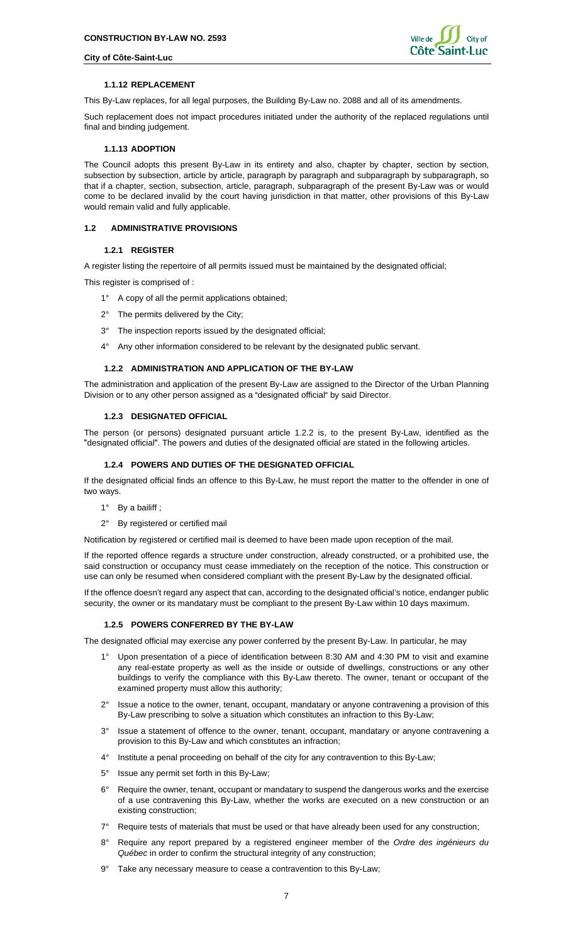

## **1.1.12 REPLACEMENT**

<span id="page-6-0"></span>This By-Law replaces, for all legal purposes, the Building By-Law no. 2088 and all of its amendments.

Such replacement does not impact procedures initiated under the authority of the replaced regulations until final and binding judgement.

## <span id="page-6-1"></span>**1.1.13 ADOPTION**

The Council adopts this present By-Law in its entirety and also, chapter by chapter, section by section, subsection by subsection, article by article, paragraph by paragraph and subparagraph by subparagraph, so that if a chapter, section, subsection, article, paragraph, subparagraph of the present By-Law was or would come to be declared invalid by the court having jurisdiction in that matter, other provisions of this By-Law would remain valid and fully applicable.

## <span id="page-6-3"></span><span id="page-6-2"></span>**1.2 ADMINISTRATIVE PROVISIONS**

### **1.2.1 REGISTER**

A register listing the repertoire of all permits issued must be maintained by the designated official;

This register is comprised of :

- 1° A copy of all the permit applications obtained;
- 2° The permits delivered by the City;
- 3° The inspection reports issued by the designated official;
- 4° Any other information considered to be relevant by the designated public servant.

### **1.2.2 ADMINISTRATION AND APPLICATION OF THE BY-LAW**

<span id="page-6-4"></span>The administration and application of the present By-Law are assigned to the Director of the Urban Planning Division or to any other person assigned as a "designated official" by said Director.

#### **1.2.3 DESIGNATED OFFICIAL**

<span id="page-6-5"></span>The person (or persons) designated pursuant article 1.2.2 is, to the present By-Law, identified as the "designated official". The powers and duties of the designated official are stated in the following articles.

### **1.2.4 POWERS AND DUTIES OF THE DESIGNATED OFFICIAL**

<span id="page-6-6"></span>If the designated official finds an offence to this By-Law, he must report the matter to the offender in one of two ways.

1° By a bailiff;

#### 2° By registered or certified mail

Notification by registered or certified mail is deemed to have been made upon reception of the mail.

If the reported offence regards a structure under construction, already constructed, or a prohibited use, the said construction or occupancy must cease immediately on the reception of the notice. This construction or use can only be resumed when considered compliant with the present By-Law by the designated official.

If the offence doesn't regard any aspect that can, according to the designated official's notice, endanger public security, the owner or its mandatary must be compliant to the present By-Law within 10 days maximum.

## <span id="page-6-7"></span>**1.2.5 POWERS CONFERRED BY THE BY-LAW**

The designated official may exercise any power conferred by the present By-Law. In particular, he may

- 1° Upon presentation of a piece of identification between 8:30 AM and 4:30 PM to visit and examine any real-estate property as well as the inside or outside of dwellings, constructions or any other buildings to verify the compliance with this By-Law thereto. The owner, tenant or occupant of the examined property must allow this authority;
- 2° Issue a notice to the owner, tenant, occupant, mandatary or anyone contravening a provision of this By-Law prescribing to solve a situation which constitutes an infraction to this By-Law;
- 3° Issue a statement of offence to the owner, tenant, occupant, mandatary or anyone contravening a provision to this By-Law and which constitutes an infraction;
- 4° Institute a penal proceeding on behalf of the city for any contravention to this By-Law;
- 5° Issue any permit set forth in this By-Law;
- 6° Require the owner, tenant, occupant or mandatary to suspend the dangerous works and the exercise of a use contravening this By-Law, whether the works are executed on a new construction or an existing construction;
- 7° Require tests of materials that must be used or that have already been used for any construction;
- 8° Require any report prepared by a registered engineer member of the *Ordre des ingénieurs du Québec* in order to confirm the structural integrity of any construction;
- 9° Take any necessary measure to cease a contravention to this By-Law;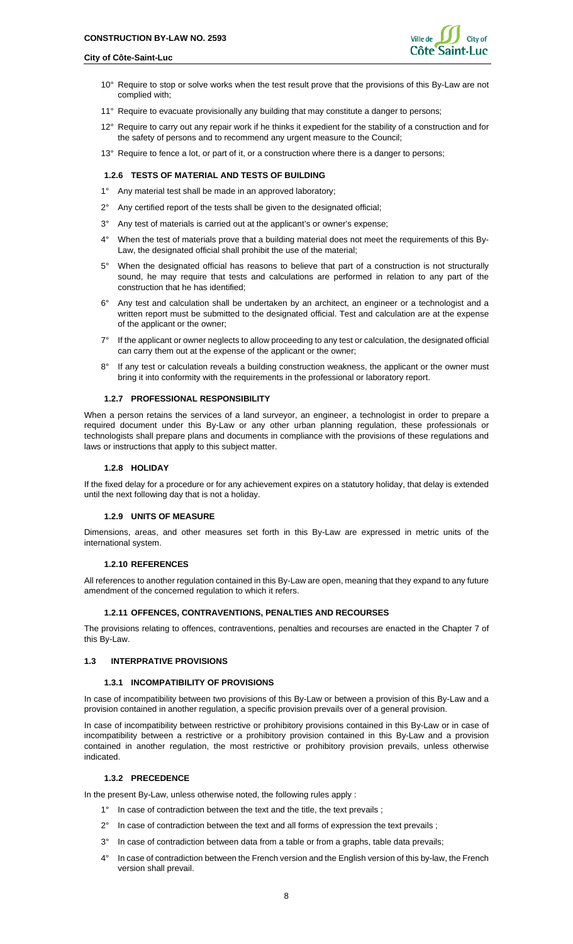

- 10° Require to stop or solve works when the test result prove that the provisions of this By-Law are not complied with;
- 11° Require to evacuate provisionally any building that may constitute a danger to persons;
- 12° Require to carry out any repair work if he thinks it expedient for the stability of a construction and for the safety of persons and to recommend any urgent measure to the Council;
- 13° Require to fence a lot, or part of it, or a construction where there is a danger to persons;

## <span id="page-7-0"></span>**1.2.6 TESTS OF MATERIAL AND TESTS OF BUILDING**

- 1° Any material test shall be made in an approved laboratory;
- 2° Any certified report of the tests shall be given to the designated official;
- 3° Any test of materials is carried out at the applicant's or owner's expense;
- 4° When the test of materials prove that a building material does not meet the requirements of this By-Law, the designated official shall prohibit the use of the material;
- 5° When the designated official has reasons to believe that part of a construction is not structurally sound, he may require that tests and calculations are performed in relation to any part of the construction that he has identified;
- 6° Any test and calculation shall be undertaken by an architect, an engineer or a technologist and a written report must be submitted to the designated official. Test and calculation are at the expense of the applicant or the owner;
- 7° If the applicant or owner neglects to allow proceeding to any test or calculation, the designated official can carry them out at the expense of the applicant or the owner;
- 8° If any test or calculation reveals a building construction weakness, the applicant or the owner must bring it into conformity with the requirements in the professional or laboratory report.

## <span id="page-7-1"></span>**1.2.7 PROFESSIONAL RESPONSIBILITY**

When a person retains the services of a land surveyor, an engineer, a technologist in order to prepare a required document under this By-Law or any other urban planning regulation, these professionals or technologists shall prepare plans and documents in compliance with the provisions of these regulations and laws or instructions that apply to this subject matter.

#### **1.2.8 HOLIDAY**

<span id="page-7-2"></span>If the fixed delay for a procedure or for any achievement expires on a statutory holiday, that delay is extended until the next following day that is not a holiday.

## <span id="page-7-3"></span>**1.2.9 UNITS OF MEASURE**

Dimensions, areas, and other measures set forth in this By-Law are expressed in metric units of the international system.

## **1.2.10 REFERENCES**

<span id="page-7-4"></span>All references to another regulation contained in this By-Law are open, meaning that they expand to any future amendment of the concerned regulation to which it refers.

## <span id="page-7-5"></span>**1.2.11 OFFENCES, CONTRAVENTIONS, PENALTIES AND RECOURSES**

The provisions relating to offences, contraventions, penalties and recourses are enacted in the Chapter 7 of this By-Law.

### <span id="page-7-7"></span><span id="page-7-6"></span>**1.3 INTERPRATIVE PROVISIONS**

#### **1.3.1 INCOMPATIBILITY OF PROVISIONS**

In case of incompatibility between two provisions of this By-Law or between a provision of this By-Law and a provision contained in another regulation, a specific provision prevails over of a general provision.

In case of incompatibility between restrictive or prohibitory provisions contained in this By-Law or in case of incompatibility between a restrictive or a prohibitory provision contained in this By-Law and a provision contained in another regulation, the most restrictive or prohibitory provision prevails, unless otherwise indicated.

#### <span id="page-7-8"></span>**1.3.2 PRECEDENCE**

In the present By-Law, unless otherwise noted, the following rules apply :

- 1° In case of contradiction between the text and the title, the text prevails;
- 2° In case of contradiction between the text and all forms of expression the text prevails ;
- 3° In case of contradiction between data from a table or from a graphs, table data prevails;
- 4° In case of contradiction between the French version and the English version of this by-law, the French version shall prevail.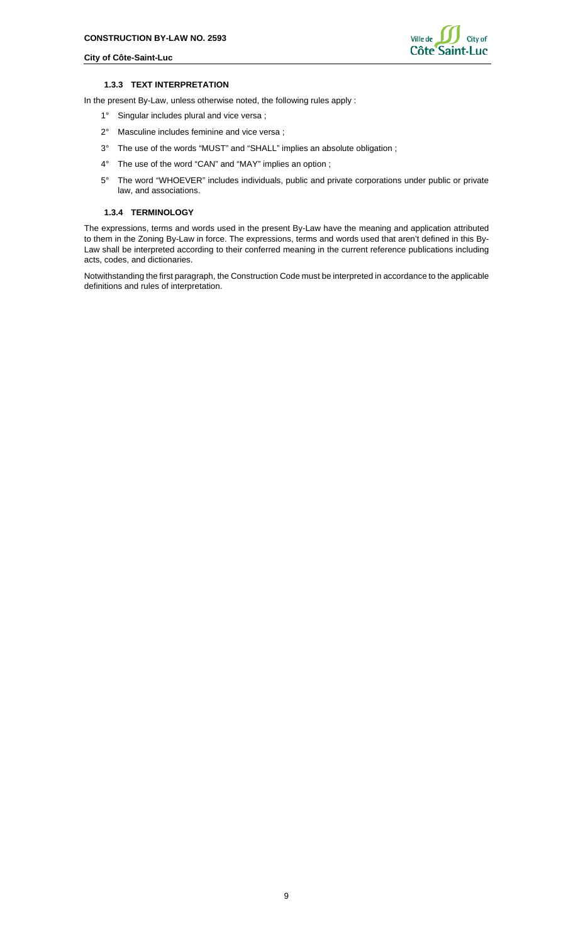

#### **1.3.3 TEXT INTERPRETATION**

<span id="page-8-0"></span>In the present By-Law, unless otherwise noted, the following rules apply :

- 1° Singular includes plural and vice versa ;
- 2° Masculine includes feminine and vice versa ;
- 3° The use of the words "MUST" and "SHALL" implies an absolute obligation ;
- 4° The use of the word "CAN" and "MAY" implies an option ;
- 5° The word "WHOEVER" includes individuals, public and private corporations under public or private law, and associations.

## <span id="page-8-1"></span>**1.3.4 TERMINOLOGY**

The expressions, terms and words used in the present By-Law have the meaning and application attributed to them in the Zoning By-Law in force. The expressions, terms and words used that aren't defined in this By-Law shall be interpreted according to their conferred meaning in the current reference publications including acts, codes, and dictionaries.

Notwithstanding the first paragraph, the Construction Code must be interpreted in accordance to the applicable definitions and rules of interpretation.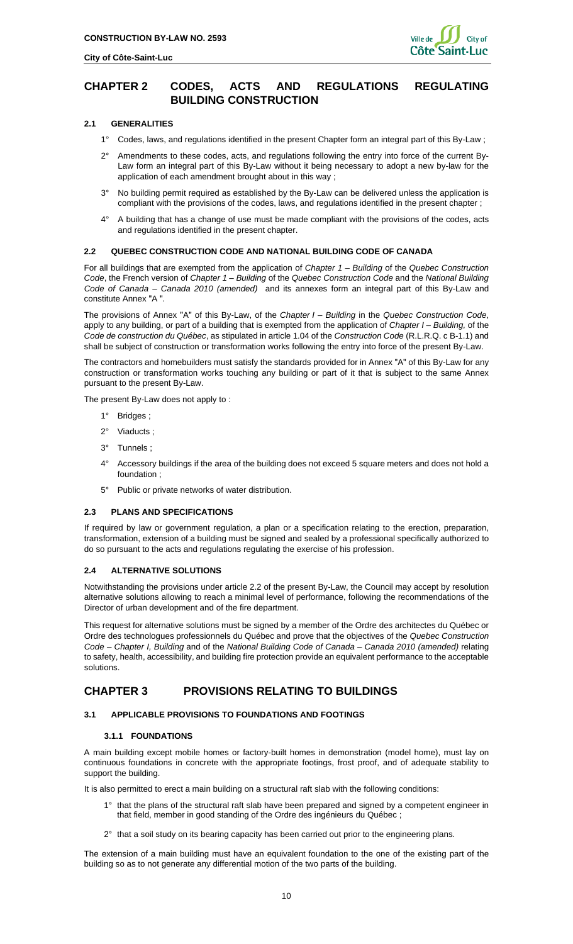

## <span id="page-9-0"></span>**CHAPTER 2 CODES, ACTS AND REGULATIONS REGULATING BUILDING CONSTRUCTION**

## **2.1 GENERALITIES**

- <span id="page-9-1"></span>1° Codes, laws, and regulations identified in the present Chapter form an integral part of this By-Law ;
- 2° Amendments to these codes, acts, and regulations following the entry into force of the current By-Law form an integral part of this By-Law without it being necessary to adopt a new by-law for the application of each amendment brought about in this way ;
- 3° No building permit required as established by the By-Law can be delivered unless the application is compliant with the provisions of the codes, laws, and regulations identified in the present chapter ;
- 4° A building that has a change of use must be made compliant with the provisions of the codes, acts and regulations identified in the present chapter.

## <span id="page-9-2"></span>**2.2 QUEBEC CONSTRUCTION CODE AND NATIONAL BUILDING CODE OF CANADA**

For all buildings that are exempted from the application of *Chapter 1 – Building* of the *Quebec Construction Code*, the French version of *Chapter 1* – *Building* of the *Quebec Construction Code* and the *National Building Code of Canada – Canada 2010 (amended)* and its annexes form an integral part of this By-Law and constitute Annex "A".

The provisions of Annex ʺAʺ of this By-Law, of the *Chapter I – Building* in the *Quebec Construction Code*, apply to any building, or part of a building that is exempted from the application of *Chapter I – Building,* of the *Code de construction du Québec*, as stipulated in article 1.04 of the *Construction Code* (R.L.R.Q. c B-1.1) and shall be subject of construction or transformation works following the entry into force of the present By-Law.

The contractors and homebuilders must satisfy the standards provided for in Annex "A" of this By-Law for any construction or transformation works touching any building or part of it that is subject to the same Annex pursuant to the present By-Law.

The present By-Law does not apply to :

- 1° Bridges ;
- 2° Viaducts ;
- 3° Tunnels ;
- 4° Accessory buildings if the area of the building does not exceed 5 square meters and does not hold a foundation ;
- 5° Public or private networks of water distribution.

#### <span id="page-9-3"></span>**2.3 PLANS AND SPECIFICATIONS**

If required by law or government regulation, a plan or a specification relating to the erection, preparation, transformation, extension of a building must be signed and sealed by a professional specifically authorized to do so pursuant to the acts and regulations regulating the exercise of his profession.

## <span id="page-9-4"></span>**2.4 ALTERNATIVE SOLUTIONS**

Notwithstanding the provisions under article 2.2 of the present By-Law, the Council may accept by resolution alternative solutions allowing to reach a minimal level of performance, following the recommendations of the Director of urban development and of the fire department.

This request for alternative solutions must be signed by a member of the Ordre des architectes du Québec or Ordre des technologues professionnels du Québec and prove that the objectives of the *Quebec Construction Code – Chapter I, Building* and of the *National Building Code of Canada – Canada 2010 (amended)* relating to safety, health, accessibility, and building fire protection provide an equivalent performance to the acceptable solutions.

## <span id="page-9-5"></span>**CHAPTER 3 PROVISIONS RELATING TO BUILDINGS**

## <span id="page-9-7"></span><span id="page-9-6"></span>**3.1 APPLICABLE PROVISIONS TO FOUNDATIONS AND FOOTINGS**

## **3.1.1 FOUNDATIONS**

A main building except mobile homes or factory-built homes in demonstration (model home), must lay on continuous foundations in concrete with the appropriate footings, frost proof, and of adequate stability to support the building.

It is also permitted to erect a main building on a structural raft slab with the following conditions:

- 1° that the plans of the structural raft slab have been prepared and signed by a competent engineer in that field, member in good standing of the Ordre des ingénieurs du Québec ;
- $2^{\circ}$  that a soil study on its bearing capacity has been carried out prior to the engineering plans.

The extension of a main building must have an equivalent foundation to the one of the existing part of the building so as to not generate any differential motion of the two parts of the building.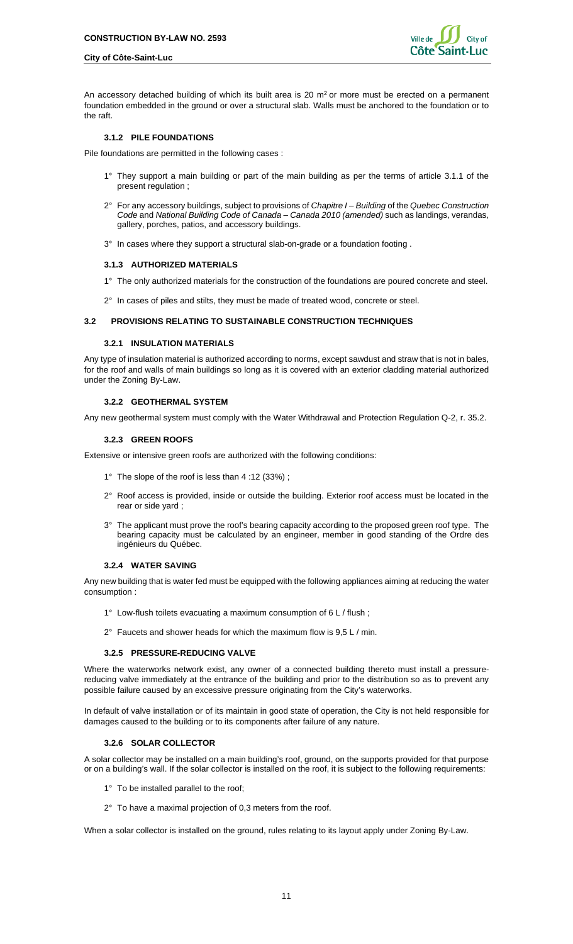An accessory detached building of which its built area is 20  $m<sup>2</sup>$  or more must be erected on a permanent foundation embedded in the ground or over a structural slab. Walls must be anchored to the foundation or to the raft.

#### <span id="page-10-0"></span>**3.1.2 PILE FOUNDATIONS**

Pile foundations are permitted in the following cases :

- 1° They support a main building or part of the main building as per the terms of article 3.1.1 of the present regulation ;
- 2° For any accessory buildings, subject to provisions of *Chapitre I – Building* of the *Quebec Construction Code* and *National Building Code of Canada – Canada 2010 (amended)* such as landings, verandas, gallery, porches, patios, and accessory buildings.
- <span id="page-10-1"></span>3° In cases where they support a structural slab-on-grade or a foundation footing .

## **3.1.3 AUTHORIZED MATERIALS**

- 1° The only authorized materials for the construction of the foundations are poured concrete and steel.
- 2° In cases of piles and stilts, they must be made of treated wood, concrete or steel.

## <span id="page-10-3"></span><span id="page-10-2"></span>**3.2 PROVISIONS RELATING TO SUSTAINABLE CONSTRUCTION TECHNIQUES**

### **3.2.1 INSULATION MATERIALS**

Any type of insulation material is authorized according to norms, except sawdust and straw that is not in bales, for the roof and walls of main buildings so long as it is covered with an exterior cladding material authorized under the Zoning By-Law.

#### <span id="page-10-4"></span>**3.2.2 GEOTHERMAL SYSTEM**

<span id="page-10-5"></span>Any new geothermal system must comply with the Water Withdrawal and Protection Regulation Q-2, r. 35.2.

#### **3.2.3 GREEN ROOFS**

Extensive or intensive green roofs are authorized with the following conditions:

- 1° The slope of the roof is less than 4 :12 (33%) ;
- 2° Roof access is provided, inside or outside the building. Exterior roof access must be located in the rear or side yard ;
- 3° The applicant must prove the roof's bearing capacity according to the proposed green roof type. The bearing capacity must be calculated by an engineer, member in good standing of the Ordre des ingénieurs du Québec.

## <span id="page-10-6"></span>**3.2.4 WATER SAVING**

Any new building that is water fed must be equipped with the following appliances aiming at reducing the water consumption :

- 1° Low-flush toilets evacuating a maximum consumption of 6 L / flush ;
- 2° Faucets and shower heads for which the maximum flow is 9,5 L / min.

## <span id="page-10-7"></span>**3.2.5 PRESSURE-REDUCING VALVE**

Where the waterworks network exist, any owner of a connected building thereto must install a pressurereducing valve immediately at the entrance of the building and prior to the distribution so as to prevent any possible failure caused by an excessive pressure originating from the City's waterworks.

<span id="page-10-8"></span>In default of valve installation or of its maintain in good state of operation, the City is not held responsible for damages caused to the building or to its components after failure of any nature.

## **3.2.6 SOLAR COLLECTOR**

A solar collector may be installed on a main building's roof, ground, on the supports provided for that purpose or on a building's wall. If the solar collector is installed on the roof, it is subject to the following requirements:

- 1° To be installed parallel to the roof;
- 2° To have a maximal projection of 0,3 meters from the roof.

When a solar collector is installed on the ground, rules relating to its layout apply under Zoning By-Law.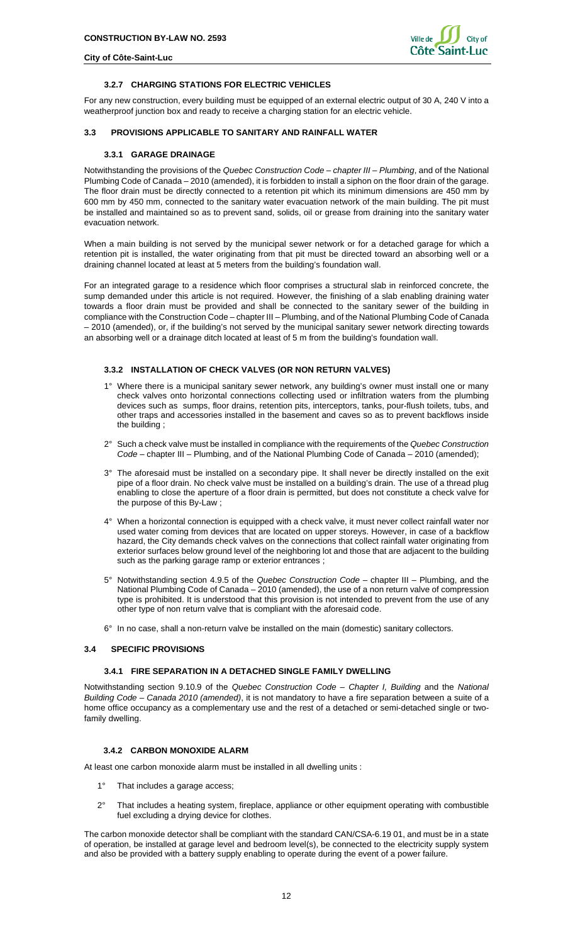

## **3.2.7 CHARGING STATIONS FOR ELECTRIC VEHICLES**

<span id="page-11-0"></span>For any new construction, every building must be equipped of an external electric output of 30 A, 240 V into a weatherproof junction box and ready to receive a charging station for an electric vehicle.

### <span id="page-11-2"></span><span id="page-11-1"></span>**3.3 PROVISIONS APPLICABLE TO SANITARY AND RAINFALL WATER**

## **3.3.1 GARAGE DRAINAGE**

Notwithstanding the provisions of the *Quebec Construction Code – chapter III – Plumbing*, and of the National Plumbing Code of Canada – 2010 (amended), it is forbidden to install a siphon on the floor drain of the garage. The floor drain must be directly connected to a retention pit which its minimum dimensions are 450 mm by 600 mm by 450 mm, connected to the sanitary water evacuation network of the main building. The pit must be installed and maintained so as to prevent sand, solids, oil or grease from draining into the sanitary water evacuation network.

When a main building is not served by the municipal sewer network or for a detached garage for which a retention pit is installed, the water originating from that pit must be directed toward an absorbing well or a draining channel located at least at 5 meters from the building's foundation wall.

For an integrated garage to a residence which floor comprises a structural slab in reinforced concrete, the sump demanded under this article is not required. However, the finishing of a slab enabling draining water towards a floor drain must be provided and shall be connected to the sanitary sewer of the building in compliance with the Construction Code – chapter III – Plumbing, and of the National Plumbing Code of Canada – 2010 (amended), or, if the building's not served by the municipal sanitary sewer network directing towards an absorbing well or a drainage ditch located at least of 5 m from the building's foundation wall.

### <span id="page-11-3"></span>**3.3.2 INSTALLATION OF CHECK VALVES (OR NON RETURN VALVES)**

- 1° Where there is a municipal sanitary sewer network, any building's owner must install one or many check valves onto horizontal connections collecting used or infiltration waters from the plumbing devices such as sumps, floor drains, retention pits, interceptors, tanks, pour-flush toilets, tubs, and other traps and accessories installed in the basement and caves so as to prevent backflows inside the building ;
- 2° Such a check valve must be installed in compliance with the requirements of the *Quebec Construction Code* – chapter III – Plumbing, and of the National Plumbing Code of Canada – 2010 (amended);
- 3° The aforesaid must be installed on a secondary pipe. It shall never be directly installed on the exit pipe of a floor drain. No check valve must be installed on a building's drain. The use of a thread plug enabling to close the aperture of a floor drain is permitted, but does not constitute a check valve for the purpose of this By-Law ;
- 4° When a horizontal connection is equipped with a check valve, it must never collect rainfall water nor used water coming from devices that are located on upper storeys. However, in case of a backflow hazard, the City demands check valves on the connections that collect rainfall water originating from exterior surfaces below ground level of the neighboring lot and those that are adjacent to the building such as the parking garage ramp or exterior entrances ;
- 5° Notwithstanding section 4.9.5 of the *Quebec Construction Code* chapter III Plumbing, and the National Plumbing Code of Canada – 2010 (amended), the use of a non return valve of compression type is prohibited. It is understood that this provision is not intended to prevent from the use of any other type of non return valve that is compliant with the aforesaid code.
- 6° In no case, shall a non-return valve be installed on the main (domestic) sanitary collectors.

### <span id="page-11-5"></span><span id="page-11-4"></span>**3.4 SPECIFIC PROVISIONS**

## **3.4.1 FIRE SEPARATION IN A DETACHED SINGLE FAMILY DWELLING**

Notwithstanding section 9.10.9 of the *Quebec Construction Code – Chapter I, Building* and the *National Building Code – Canada 2010 (amended)*, it is not mandatory to have a fire separation between a suite of a home office occupancy as a complementary use and the rest of a detached or semi-detached single or twofamily dwelling.

## <span id="page-11-6"></span>**3.4.2 CARBON MONOXIDE ALARM**

At least one carbon monoxide alarm must be installed in all dwelling units :

- 1° That includes a garage access;
- 2° That includes a heating system, fireplace, appliance or other equipment operating with combustible fuel excluding a drying device for clothes.

The carbon monoxide detector shall be compliant with the standard CAN/CSA-6.19 01, and must be in a state of operation, be installed at garage level and bedroom level(s), be connected to the electricity supply system and also be provided with a battery supply enabling to operate during the event of a power failure.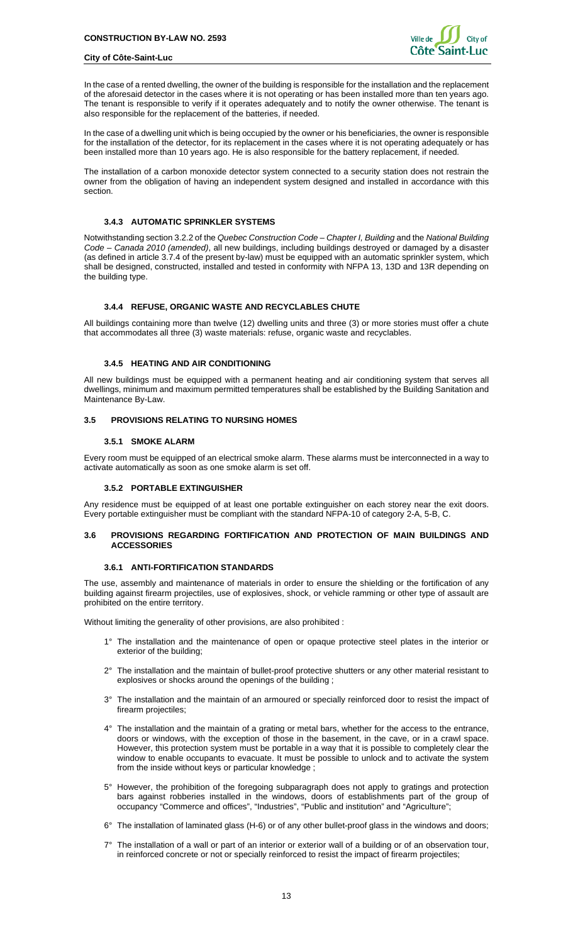

In the case of a rented dwelling, the owner of the building is responsible for the installation and the replacement of the aforesaid detector in the cases where it is not operating or has been installed more than ten years ago. The tenant is responsible to verify if it operates adequately and to notify the owner otherwise. The tenant is also responsible for the replacement of the batteries, if needed.

In the case of a dwelling unit which is being occupied by the owner or his beneficiaries, the owner is responsible for the installation of the detector, for its replacement in the cases where it is not operating adequately or has been installed more than 10 years ago. He is also responsible for the battery replacement, if needed.

The installation of a carbon monoxide detector system connected to a security station does not restrain the owner from the obligation of having an independent system designed and installed in accordance with this section.

### <span id="page-12-0"></span>**3.4.3 AUTOMATIC SPRINKLER SYSTEMS**

Notwithstanding section 3.2.2 of the *Quebec Construction Code – Chapter I, Building* and the *National Building Code – Canada 2010 (amended)*, all new buildings, including buildings destroyed or damaged by a disaster (as defined in article 3.7.4 of the present by-law) must be equipped with an automatic sprinkler system, which shall be designed, constructed, installed and tested in conformity with NFPA 13, 13D and 13R depending on the building type.

### <span id="page-12-1"></span>**3.4.4 REFUSE, ORGANIC WASTE AND RECYCLABLES CHUTE**

All buildings containing more than twelve (12) dwelling units and three (3) or more stories must offer a chute that accommodates all three (3) waste materials: refuse, organic waste and recyclables.

## <span id="page-12-2"></span>**3.4.5 HEATING AND AIR CONDITIONING**

All new buildings must be equipped with a permanent heating and air conditioning system that serves all dwellings, minimum and maximum permitted temperatures shall be established by the Building Sanitation and Maintenance By-Law.

## <span id="page-12-4"></span><span id="page-12-3"></span>**3.5 PROVISIONS RELATING TO NURSING HOMES**

### **3.5.1 SMOKE ALARM**

<span id="page-12-5"></span>Every room must be equipped of an electrical smoke alarm. These alarms must be interconnected in a way to activate automatically as soon as one smoke alarm is set off.

## **3.5.2 PORTABLE EXTINGUISHER**

Any residence must be equipped of at least one portable extinguisher on each storey near the exit doors. Every portable extinguisher must be compliant with the standard NFPA-10 of category 2-A, 5-B, C.

## <span id="page-12-6"></span>**3.6 PROVISIONS REGARDING FORTIFICATION AND PROTECTION OF MAIN BUILDINGS AND ACCESSORIES**

## <span id="page-12-7"></span>**3.6.1 ANTI-FORTIFICATION STANDARDS**

The use, assembly and maintenance of materials in order to ensure the shielding or the fortification of any building against firearm projectiles, use of explosives, shock, or vehicle ramming or other type of assault are prohibited on the entire territory.

Without limiting the generality of other provisions, are also prohibited :

- 1° The installation and the maintenance of open or opaque protective steel plates in the interior or exterior of the building;
- 2° The installation and the maintain of bullet-proof protective shutters or any other material resistant to explosives or shocks around the openings of the building ;
- 3° The installation and the maintain of an armoured or specially reinforced door to resist the impact of firearm projectiles;
- 4° The installation and the maintain of a grating or metal bars, whether for the access to the entrance, doors or windows, with the exception of those in the basement, in the cave, or in a crawl space. However, this protection system must be portable in a way that it is possible to completely clear the window to enable occupants to evacuate. It must be possible to unlock and to activate the system from the inside without keys or particular knowledge;
- 5° However, the prohibition of the foregoing subparagraph does not apply to gratings and protection bars against robberies installed in the windows, doors of establishments part of the group of occupancy "Commerce and offices", "Industries", "Public and institution" and "Agriculture";
- 6° The installation of laminated glass (H-6) or of any other bullet-proof glass in the windows and doors;
- 7° The installation of a wall or part of an interior or exterior wall of a building or of an observation tour, in reinforced concrete or not or specially reinforced to resist the impact of firearm projectiles;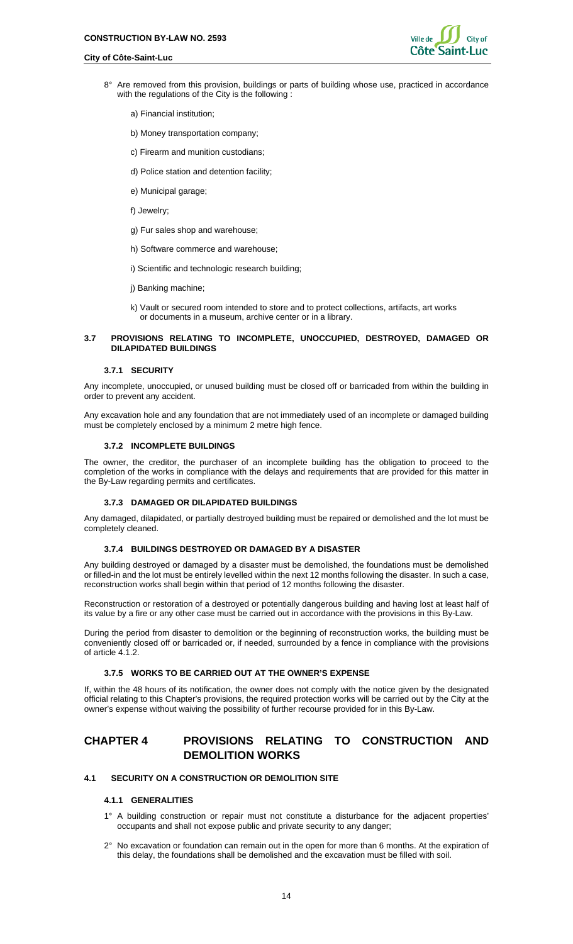![](_page_13_Picture_2.jpeg)

- 8° Are removed from this provision, buildings or parts of building whose use, practiced in accordance with the regulations of the City is the following :
	- a) Financial institution;
	- b) Money transportation company;
	- c) Firearm and munition custodians;
	- d) Police station and detention facility;
	- e) Municipal garage;
	- f) Jewelry;
	- g) Fur sales shop and warehouse;
	- h) Software commerce and warehouse;
	- i) Scientific and technologic research building;
	- j) Banking machine;
	- k) Vault or secured room intended to store and to protect collections, artifacts, art works or documents in a museum, archive center or in a library.

## <span id="page-13-0"></span>**3.7 PROVISIONS RELATING TO INCOMPLETE, UNOCCUPIED, DESTROYED, DAMAGED OR DILAPIDATED BUILDINGS**

#### <span id="page-13-1"></span>**3.7.1 SECURITY**

Any incomplete, unoccupied, or unused building must be closed off or barricaded from within the building in order to prevent any accident.

<span id="page-13-2"></span>Any excavation hole and any foundation that are not immediately used of an incomplete or damaged building must be completely enclosed by a minimum 2 metre high fence.

## **3.7.2 INCOMPLETE BUILDINGS**

The owner, the creditor, the purchaser of an incomplete building has the obligation to proceed to the completion of the works in compliance with the delays and requirements that are provided for this matter in the By-Law regarding permits and certificates.

#### <span id="page-13-3"></span>**3.7.3 DAMAGED OR DILAPIDATED BUILDINGS**

<span id="page-13-4"></span>Any damaged, dilapidated, or partially destroyed building must be repaired or demolished and the lot must be completely cleaned.

#### **3.7.4 BUILDINGS DESTROYED OR DAMAGED BY A DISASTER**

Any building destroyed or damaged by a disaster must be demolished, the foundations must be demolished or filled-in and the lot must be entirely levelled within the next 12 months following the disaster. In such a case, reconstruction works shall begin within that period of 12 months following the disaster.

Reconstruction or restoration of a destroyed or potentially dangerous building and having lost at least half of its value by a fire or any other case must be carried out in accordance with the provisions in this By-Law.

During the period from disaster to demolition or the beginning of reconstruction works, the building must be conveniently closed off or barricaded or, if needed, surrounded by a fence in compliance with the provisions of article 4.1.2.

#### <span id="page-13-5"></span>**3.7.5 WORKS TO BE CARRIED OUT AT THE OWNER'S EXPENSE**

If, within the 48 hours of its notification, the owner does not comply with the notice given by the designated official relating to this Chapter's provisions, the required protection works will be carried out by the City at the owner's expense without waiving the possibility of further recourse provided for in this By-Law.

## <span id="page-13-6"></span>**CHAPTER 4 PROVISIONS RELATING TO CONSTRUCTION AND DEMOLITION WORKS**

## <span id="page-13-8"></span><span id="page-13-7"></span>**4.1 SECURITY ON A CONSTRUCTION OR DEMOLITION SITE**

#### **4.1.1 GENERALITIES**

- 1° A building construction or repair must not constitute a disturbance for the adjacent properties' occupants and shall not expose public and private security to any danger;
- 2° No excavation or foundation can remain out in the open for more than 6 months. At the expiration of this delay, the foundations shall be demolished and the excavation must be filled with soil.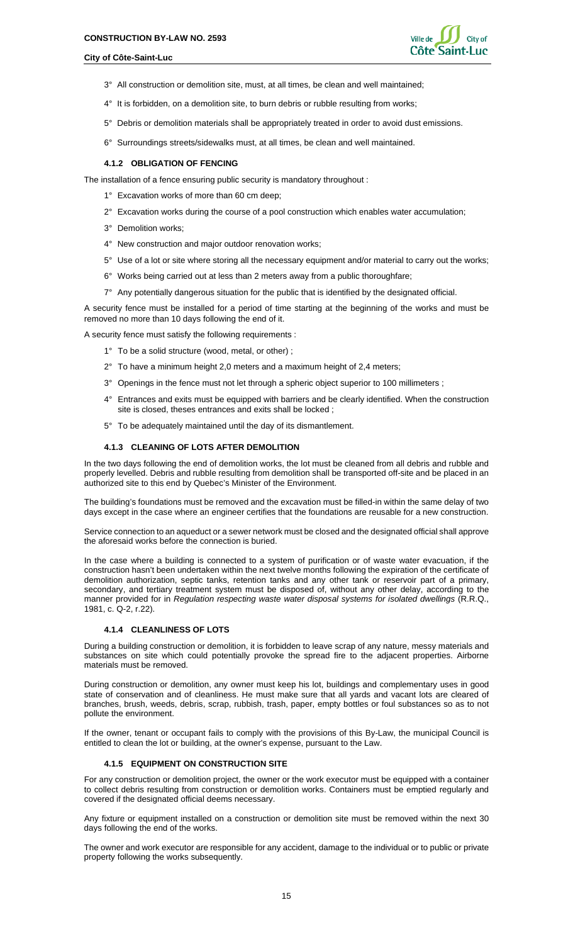![](_page_14_Picture_2.jpeg)

- 3° All construction or demolition site, must, at all times, be clean and well maintained;
- 4° It is forbidden, on a demolition site, to burn debris or rubble resulting from works;
- 5° Debris or demolition materials shall be appropriately treated in order to avoid dust emissions.
- <span id="page-14-0"></span>6° Surroundings streets/sidewalks must, at all times, be clean and well maintained.

#### **4.1.2 OBLIGATION OF FENCING**

The installation of a fence ensuring public security is mandatory throughout :

- 1° Excavation works of more than 60 cm deep;
- 2° Excavation works during the course of a pool construction which enables water accumulation;
- 3° Demolition works;
- 4° New construction and major outdoor renovation works;
- 5° Use of a lot or site where storing all the necessary equipment and/or material to carry out the works;
- 6° Works being carried out at less than 2 meters away from a public thoroughfare;
- 7° Any potentially dangerous situation for the public that is identified by the designated official.

A security fence must be installed for a period of time starting at the beginning of the works and must be removed no more than 10 days following the end of it.

A security fence must satisfy the following requirements :

- 1° To be a solid structure (wood, metal, or other) ;
- 2° To have a minimum height 2,0 meters and a maximum height of 2,4 meters;
- 3° Openings in the fence must not let through a spheric object superior to 100 millimeters ;
- 4° Entrances and exits must be equipped with barriers and be clearly identified. When the construction site is closed, theses entrances and exits shall be locked ;
- 5° To be adequately maintained until the day of its dismantlement.

#### **4.1.3 CLEANING OF LOTS AFTER DEMOLITION**

<span id="page-14-1"></span>In the two days following the end of demolition works, the lot must be cleaned from all debris and rubble and properly levelled. Debris and rubble resulting from demolition shall be transported off-site and be placed in an authorized site to this end by Quebec's Minister of the Environment.

The building's foundations must be removed and the excavation must be filled-in within the same delay of two days except in the case where an engineer certifies that the foundations are reusable for a new construction.

Service connection to an aqueduct or a sewer network must be closed and the designated official shall approve the aforesaid works before the connection is buried.

In the case where a building is connected to a system of purification or of waste water evacuation, if the construction hasn't been undertaken within the next twelve months following the expiration of the certificate of demolition authorization, septic tanks, retention tanks and any other tank or reservoir part of a primary, secondary, and tertiary treatment system must be disposed of, without any other delay, according to the manner provided for in *Regulation respecting waste water disposal systems for isolated dwellings* (R.R.Q., 1981, c. Q-2, r.22).

#### <span id="page-14-2"></span>**4.1.4 CLEANLINESS OF LOTS**

During a building construction or demolition, it is forbidden to leave scrap of any nature, messy materials and substances on site which could potentially provoke the spread fire to the adjacent properties. Airborne materials must be removed.

During construction or demolition, any owner must keep his lot, buildings and complementary uses in good state of conservation and of cleanliness. He must make sure that all yards and vacant lots are cleared of branches, brush, weeds, debris, scrap, rubbish, trash, paper, empty bottles or foul substances so as to not pollute the environment.

<span id="page-14-3"></span>If the owner, tenant or occupant fails to comply with the provisions of this By-Law, the municipal Council is entitled to clean the lot or building, at the owner's expense, pursuant to the Law.

#### **4.1.5 EQUIPMENT ON CONSTRUCTION SITE**

For any construction or demolition project, the owner or the work executor must be equipped with a container to collect debris resulting from construction or demolition works. Containers must be emptied regularly and covered if the designated official deems necessary.

Any fixture or equipment installed on a construction or demolition site must be removed within the next 30 days following the end of the works.

The owner and work executor are responsible for any accident, damage to the individual or to public or private property following the works subsequently.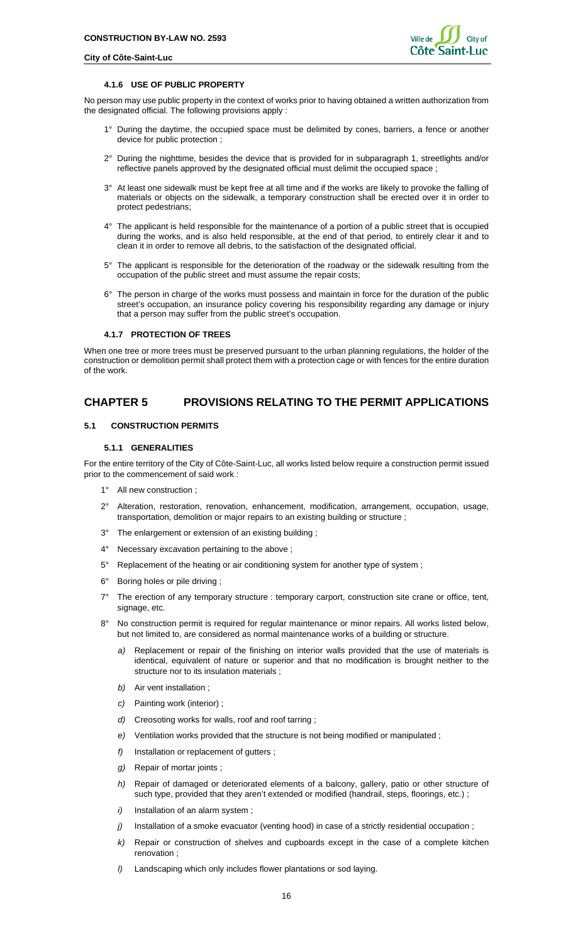#### **4.1.6 USE OF PUBLIC PROPERTY**

<span id="page-15-0"></span>No person may use public property in the context of works prior to having obtained a written authorization from the designated official. The following provisions apply :

- 1° During the daytime, the occupied space must be delimited by cones, barriers, a fence or another device for public protection ;
- 2° During the nighttime, besides the device that is provided for in subparagraph 1, streetlights and/or reflective panels approved by the designated official must delimit the occupied space ;
- 3° At least one sidewalk must be kept free at all time and if the works are likely to provoke the falling of materials or objects on the sidewalk, a temporary construction shall be erected over it in order to protect pedestrians;
- 4° The applicant is held responsible for the maintenance of a portion of a public street that is occupied during the works, and is also held responsible, at the end of that period, to entirely clear it and to clean it in order to remove all debris, to the satisfaction of the designated official.
- 5° The applicant is responsible for the deterioration of the roadway or the sidewalk resulting from the occupation of the public street and must assume the repair costs;
- 6° The person in charge of the works must possess and maintain in force for the duration of the public street's occupation, an insurance policy covering his responsibility regarding any damage or injury that a person may suffer from the public street's occupation.

#### <span id="page-15-1"></span>**4.1.7 PROTECTION OF TREES**

When one tree or more trees must be preserved pursuant to the urban planning regulations, the holder of the construction or demolition permit shall protect them with a protection cage or with fences for the entire duration of the work.

## <span id="page-15-2"></span>**CHAPTER 5 PROVISIONS RELATING TO THE PERMIT APPLICATIONS**

## <span id="page-15-4"></span><span id="page-15-3"></span>**5.1 CONSTRUCTION PERMITS**

### **5.1.1 GENERALITIES**

For the entire territory of the City of Côte-Saint-Luc, all works listed below require a construction permit issued prior to the commencement of said work :

- 1° All new construction ;
- 2° Alteration, restoration, renovation, enhancement, modification, arrangement, occupation, usage, transportation, demolition or major repairs to an existing building or structure ;
- 3° The enlargement or extension of an existing building ;
- 4° Necessary excavation pertaining to the above ;
- 5° Replacement of the heating or air conditioning system for another type of system ;
- 6° Boring holes or pile driving ;
- The erection of any temporary structure : temporary carport, construction site crane or office, tent, signage, etc.
- 8° No construction permit is required for regular maintenance or minor repairs. All works listed below, but not limited to, are considered as normal maintenance works of a building or structure.
	- *a)* Replacement or repair of the finishing on interior walls provided that the use of materials is identical, equivalent of nature or superior and that no modification is brought neither to the structure nor to its insulation materials :
	- *b)* Air vent installation ;
	- *c)* Painting work (interior) ;
	- *d)* Creosoting works for walls, roof and roof tarring ;
	- *e)* Ventilation works provided that the structure is not being modified or manipulated ;
	- *f)* Installation or replacement of gutters ;
	- *g)* Repair of mortar joints ;
	- *h)* Repair of damaged or deteriorated elements of a balcony, gallery, patio or other structure of such type, provided that they aren't extended or modified (handrail, steps, floorings, etc.) ;
	- *i)* Installation of an alarm system ;
	- *j*) Installation of a smoke evacuator (venting hood) in case of a strictly residential occupation ;
	- *k)* Repair or construction of shelves and cupboards except in the case of a complete kitchen renovation ;
	- *l)* Landscaping which only includes flower plantations or sod laying.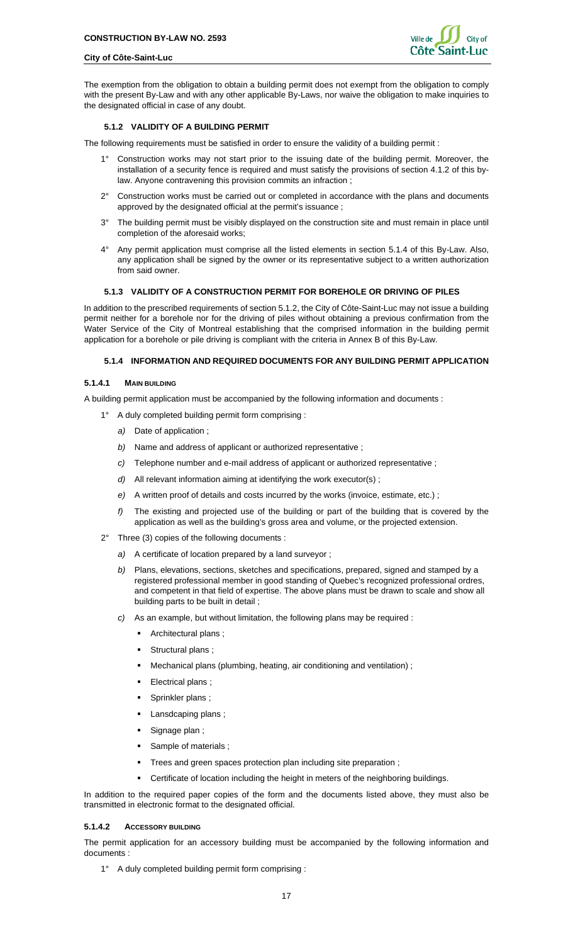![](_page_16_Picture_2.jpeg)

The exemption from the obligation to obtain a building permit does not exempt from the obligation to comply with the present By-Law and with any other applicable By-Laws, nor waive the obligation to make inquiries to the designated official in case of any doubt.

## <span id="page-16-0"></span>**5.1.2 VALIDITY OF A BUILDING PERMIT**

The following requirements must be satisfied in order to ensure the validity of a building permit :

- 1° Construction works may not start prior to the issuing date of the building permit. Moreover, the installation of a security fence is required and must satisfy the provisions of section 4.1.2 of this bylaw. Anyone contravening this provision commits an infraction ;
- 2° Construction works must be carried out or completed in accordance with the plans and documents approved by the designated official at the permit's issuance ;
- 3° The building permit must be visibly displayed on the construction site and must remain in place until completion of the aforesaid works;
- 4° Any permit application must comprise all the listed elements in section 5.1.4 of this By-Law. Also, any application shall be signed by the owner or its representative subject to a written authorization from said owner.

## <span id="page-16-1"></span>**5.1.3 VALIDITY OF A CONSTRUCTION PERMIT FOR BOREHOLE OR DRIVING OF PILES**

In addition to the prescribed requirements of section 5.1.2, the City of Côte-Saint-Luc may not issue a building permit neither for a borehole nor for the driving of piles without obtaining a previous confirmation from the Water Service of the City of Montreal establishing that the comprised information in the building permit application for a borehole or pile driving is compliant with the criteria in Annex B of this By-Law.

#### <span id="page-16-2"></span>**5.1.4 INFORMATION AND REQUIRED DOCUMENTS FOR ANY BUILDING PERMIT APPLICATION**

#### **5.1.4.1 MAIN BUILDING**

A building permit application must be accompanied by the following information and documents :

- 1° A duly completed building permit form comprising :
	- *a)* Date of application ;
	- *b)* Name and address of applicant or authorized representative ;
	- *c)* Telephone number and e-mail address of applicant or authorized representative ;
	- *d)* All relevant information aiming at identifying the work executor(s) ;
	- *e)* A written proof of details and costs incurred by the works (invoice, estimate, etc.) ;
	- *f)* The existing and projected use of the building or part of the building that is covered by the application as well as the building's gross area and volume, or the projected extension.
- 2° Three (3) copies of the following documents :
	- *a)* A certificate of location prepared by a land surveyor ;
	- *b)* Plans, elevations, sections, sketches and specifications, prepared, signed and stamped by a registered professional member in good standing of Quebec's recognized professional ordres, and competent in that field of expertise. The above plans must be drawn to scale and show all building parts to be built in detail ;
	- *c)* As an example, but without limitation, the following plans may be required :
		- **Architectural plans:**
		- Structural plans;
		- Mechanical plans (plumbing, heating, air conditioning and ventilation) ;
		- **Electrical plans**;
		- Sprinkler plans ;
		- Lansdcaping plans ;
		- Signage plan ;
		- Sample of materials ;
		- Trees and green spaces protection plan including site preparation ;
		- Certificate of location including the height in meters of the neighboring buildings.

In addition to the required paper copies of the form and the documents listed above, they must also be transmitted in electronic format to the designated official.

#### **5.1.4.2 ACCESSORY BUILDING**

The permit application for an accessory building must be accompanied by the following information and documents :

1° A duly completed building permit form comprising :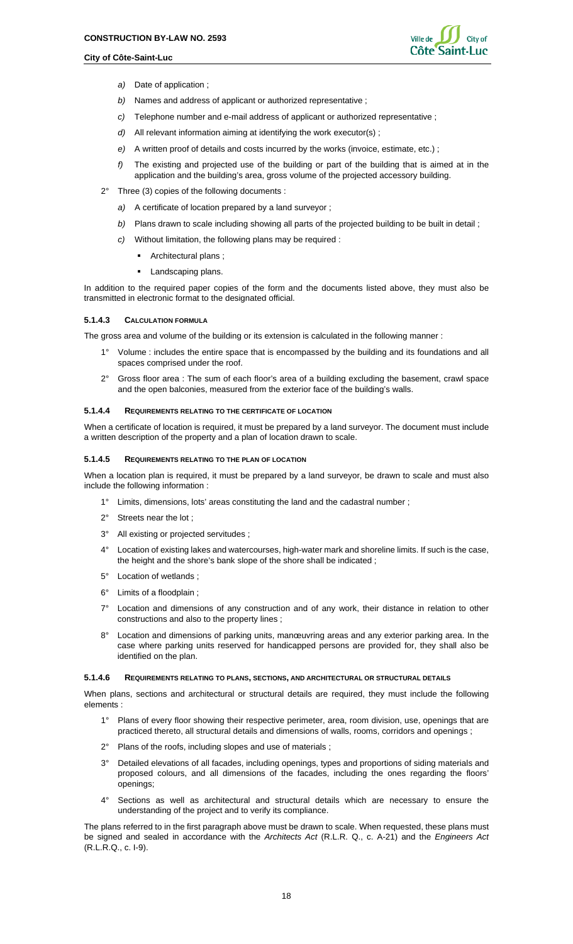![](_page_17_Picture_2.jpeg)

- *a)* Date of application ;
- *b)* Names and address of applicant or authorized representative ;
- *c)* Telephone number and e-mail address of applicant or authorized representative ;
- *d)* All relevant information aiming at identifying the work executor(s) ;
- *e)* A written proof of details and costs incurred by the works (invoice, estimate, etc.) ;
- *f)* The existing and projected use of the building or part of the building that is aimed at in the application and the building's area, gross volume of the projected accessory building.
- 2° Three (3) copies of the following documents :
	- *a)* A certificate of location prepared by a land surveyor ;
	- *b)* Plans drawn to scale including showing all parts of the projected building to be built in detail ;
	- *c)* Without limitation, the following plans may be required :
		- Architectural plans ;
		- **Landscaping plans.**

In addition to the required paper copies of the form and the documents listed above, they must also be transmitted in electronic format to the designated official.

#### **5.1.4.3 CALCULATION FORMULA**

The gross area and volume of the building or its extension is calculated in the following manner :

- 1° Volume : includes the entire space that is encompassed by the building and its foundations and all spaces comprised under the roof.
- 2° Gross floor area : The sum of each floor's area of a building excluding the basement, crawl space and the open balconies, measured from the exterior face of the building's walls.

#### **5.1.4.4 REQUIREMENTS RELATING TO THE CERTIFICATE OF LOCATION**

When a certificate of location is required, it must be prepared by a land surveyor. The document must include a written description of the property and a plan of location drawn to scale.

#### **5.1.4.5 REQUIREMENTS RELATING TO THE PLAN OF LOCATION**

When a location plan is required, it must be prepared by a land surveyor, be drawn to scale and must also include the following information :

- 1° Limits, dimensions, lots' areas constituting the land and the cadastral number ;
- 2° Streets near the lot ;
- 3° All existing or projected servitudes ;
- 4° Location of existing lakes and watercourses, high-water mark and shoreline limits. If such is the case, the height and the shore's bank slope of the shore shall be indicated ;
- 5° Location of wetlands ;
- 6° Limits of a floodplain ;
- 7° Location and dimensions of any construction and of any work, their distance in relation to other constructions and also to the property lines ;
- Location and dimensions of parking units, manœuvring areas and any exterior parking area. In the case where parking units reserved for handicapped persons are provided for, they shall also be identified on the plan.

#### **5.1.4.6 REQUIREMENTS RELATING TO PLANS, SECTIONS, AND ARCHITECTURAL OR STRUCTURAL DETAILS**

When plans, sections and architectural or structural details are required, they must include the following elements :

- 1° Plans of every floor showing their respective perimeter, area, room division, use, openings that are practiced thereto, all structural details and dimensions of walls, rooms, corridors and openings ;
- 2° Plans of the roofs, including slopes and use of materials ;
- 3° Detailed elevations of all facades, including openings, types and proportions of siding materials and proposed colours, and all dimensions of the facades, including the ones regarding the floors' openings;
- 4° Sections as well as architectural and structural details which are necessary to ensure the understanding of the project and to verify its compliance.

The plans referred to in the first paragraph above must be drawn to scale. When requested, these plans must be signed and sealed in accordance with the *Architects Act* (R.L.R. Q., c. A-21) and the *Engineers Act* (R.L.R.Q., c. I-9).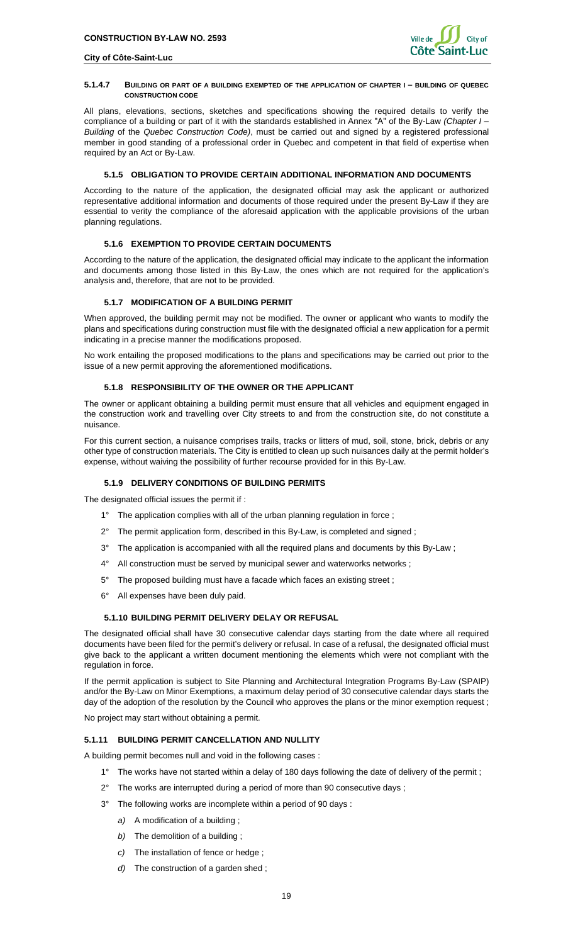#### **5.1.4.7 BUILDING OR PART OF A BUILDING EXEMPTED OF THE APPLICATION OF CHAPTER I – BUILDING OF QUEBEC CONSTRUCTION CODE**

All plans, elevations, sections, sketches and specifications showing the required details to verify the compliance of a building or part of it with the standards established in Annex "A" of the By-Law *(Chapter I – Building* of the *Quebec Construction Code)*, must be carried out and signed by a registered professional member in good standing of a professional order in Quebec and competent in that field of expertise when required by an Act or By-Law.

## <span id="page-18-0"></span>**5.1.5 OBLIGATION TO PROVIDE CERTAIN ADDITIONAL INFORMATION AND DOCUMENTS**

According to the nature of the application, the designated official may ask the applicant or authorized representative additional information and documents of those required under the present By-Law if they are essential to verity the compliance of the aforesaid application with the applicable provisions of the urban planning regulations.

## <span id="page-18-1"></span>**5.1.6 EXEMPTION TO PROVIDE CERTAIN DOCUMENTS**

According to the nature of the application, the designated official may indicate to the applicant the information and documents among those listed in this By-Law, the ones which are not required for the application's analysis and, therefore, that are not to be provided.

## <span id="page-18-2"></span>**5.1.7 MODIFICATION OF A BUILDING PERMIT**

When approved, the building permit may not be modified. The owner or applicant who wants to modify the plans and specifications during construction must file with the designated official a new application for a permit indicating in a precise manner the modifications proposed.

No work entailing the proposed modifications to the plans and specifications may be carried out prior to the issue of a new permit approving the aforementioned modifications.

## <span id="page-18-3"></span>**5.1.8 RESPONSIBILITY OF THE OWNER OR THE APPLICANT**

The owner or applicant obtaining a building permit must ensure that all vehicles and equipment engaged in the construction work and travelling over City streets to and from the construction site, do not constitute a nuisance.

For this current section, a nuisance comprises trails, tracks or litters of mud, soil, stone, brick, debris or any other type of construction materials. The City is entitled to clean up such nuisances daily at the permit holder's expense, without waiving the possibility of further recourse provided for in this By-Law.

## <span id="page-18-4"></span>**5.1.9 DELIVERY CONDITIONS OF BUILDING PERMITS**

The designated official issues the permit if :

- 1° The application complies with all of the urban planning regulation in force;
- 2° The permit application form, described in this By-Law, is completed and signed ;
- 3° The application is accompanied with all the required plans and documents by this By-Law ;
- 4° All construction must be served by municipal sewer and waterworks networks;
- 5° The proposed building must have a facade which faces an existing street ;
- 6° All expenses have been duly paid.

## **5.1.10 BUILDING PERMIT DELIVERY DELAY OR REFUSAL**

<span id="page-18-5"></span>The designated official shall have 30 consecutive calendar days starting from the date where all required documents have been filed for the permit's delivery or refusal. In case of a refusal, the designated official must give back to the applicant a written document mentioning the elements which were not compliant with the regulation in force.

If the permit application is subject to Site Planning and Architectural Integration Programs By-Law (SPAIP) and/or the By-Law on Minor Exemptions, a maximum delay period of 30 consecutive calendar days starts the day of the adoption of the resolution by the Council who approves the plans or the minor exemption request ;

No project may start without obtaining a permit.

## <span id="page-18-6"></span>**5.1.11 BUILDING PERMIT CANCELLATION AND NULLITY**

A building permit becomes null and void in the following cases :

- 1° The works have not started within a delay of 180 days following the date of delivery of the permit;
- 2° The works are interrupted during a period of more than 90 consecutive days ;
- 3° The following works are incomplete within a period of 90 days :
	- *a)* A modification of a building ;
	- *b)* The demolition of a building ;
	- *c)* The installation of fence or hedge ;
	- *d)* The construction of a garden shed ;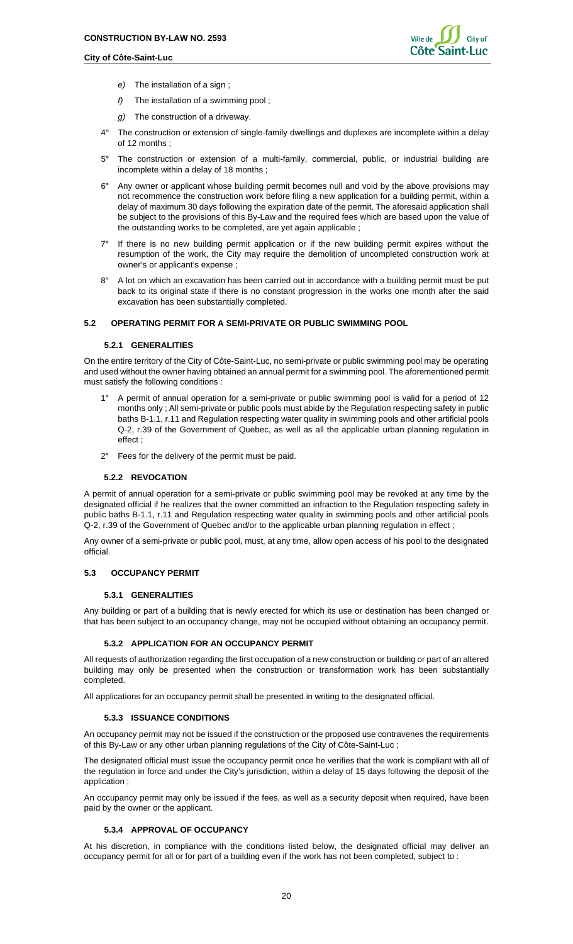![](_page_19_Picture_2.jpeg)

- *e)* The installation of a sign ;
- *f)* The installation of a swimming pool ;
- *g)* The construction of a driveway.
- 4° The construction or extension of single-family dwellings and duplexes are incomplete within a delay of 12 months ;
- 5° The construction or extension of a multi-family, commercial, public, or industrial building are incomplete within a delay of 18 months ;
- 6° Any owner or applicant whose building permit becomes null and void by the above provisions may not recommence the construction work before filing a new application for a building permit, within a delay of maximum 30 days following the expiration date of the permit. The aforesaid application shall be subject to the provisions of this By-Law and the required fees which are based upon the value of the outstanding works to be completed, are yet again applicable ;
- 7° If there is no new building permit application or if the new building permit expires without the resumption of the work, the City may require the demolition of uncompleted construction work at owner's or applicant's expense ;
- 8° A lot on which an excavation has been carried out in accordance with a building permit must be put back to its original state if there is no constant progression in the works one month after the said excavation has been substantially completed.

#### <span id="page-19-1"></span><span id="page-19-0"></span>**5.2 OPERATING PERMIT FOR A SEMI-PRIVATE OR PUBLIC SWIMMING POOL**

#### **5.2.1 GENERALITIES**

On the entire territory of the City of Côte-Saint-Luc, no semi-private or public swimming pool may be operating and used without the owner having obtained an annual permit for a swimming pool. The aforementioned permit must satisfy the following conditions :

- 1° A permit of annual operation for a semi-private or public swimming pool is valid for a period of 12 months only ; All semi-private or public pools must abide by the Regulation respecting safety in public baths B-1.1, r.11 and Regulation respecting water quality in swimming pools and other artificial pools Q-2, r.39 of the Government of Quebec, as well as all the applicable urban planning regulation in effect ;
- 2° Fees for the delivery of the permit must be paid.

#### **5.2.2 REVOCATION**

<span id="page-19-2"></span>A permit of annual operation for a semi-private or public swimming pool may be revoked at any time by the designated official if he realizes that the owner committed an infraction to the Regulation respecting safety in public baths B-1.1, r.11 and Regulation respecting water quality in swimming pools and other artificial pools Q-2, r.39 of the Government of Quebec and/or to the applicable urban planning regulation in effect ;

Any owner of a semi-private or public pool, must, at any time, allow open access of his pool to the designated official.

## <span id="page-19-4"></span><span id="page-19-3"></span>**5.3 OCCUPANCY PERMIT**

#### **5.3.1 GENERALITIES**

Any building or part of a building that is newly erected for which its use or destination has been changed or that has been subject to an occupancy change, may not be occupied without obtaining an occupancy permit.

#### <span id="page-19-5"></span>**5.3.2 APPLICATION FOR AN OCCUPANCY PERMIT**

All requests of authorization regarding the first occupation of a new construction or building or part of an altered building may only be presented when the construction or transformation work has been substantially completed.

<span id="page-19-6"></span>All applications for an occupancy permit shall be presented in writing to the designated official.

#### **5.3.3 ISSUANCE CONDITIONS**

An occupancy permit may not be issued if the construction or the proposed use contravenes the requirements of this By-Law or any other urban planning regulations of the City of Côte-Saint-Luc ;

The designated official must issue the occupancy permit once he verifies that the work is compliant with all of the regulation in force and under the City's jurisdiction, within a delay of 15 days following the deposit of the application ;

An occupancy permit may only be issued if the fees, as well as a security deposit when required, have been paid by the owner or the applicant.

## <span id="page-19-7"></span>**5.3.4 APPROVAL OF OCCUPANCY**

At his discretion, in compliance with the conditions listed below, the designated official may deliver an occupancy permit for all or for part of a building even if the work has not been completed, subject to :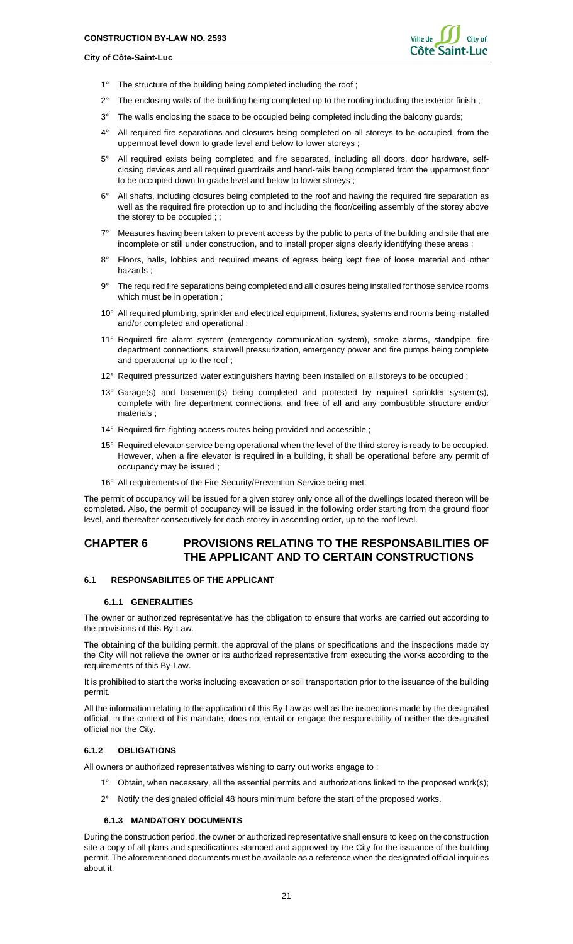![](_page_20_Picture_2.jpeg)

- 1° The structure of the building being completed including the roof;
- 2° The enclosing walls of the building being completed up to the roofing including the exterior finish ;
- 3° The walls enclosing the space to be occupied being completed including the balcony guards;
- 4° All required fire separations and closures being completed on all storeys to be occupied, from the uppermost level down to grade level and below to lower storeys ;
- 5° All required exists being completed and fire separated, including all doors, door hardware, selfclosing devices and all required guardrails and hand-rails being completed from the uppermost floor to be occupied down to grade level and below to lower storeys ;
- 6° All shafts, including closures being completed to the roof and having the required fire separation as well as the required fire protection up to and including the floor/ceiling assembly of the storey above the storey to be occupied ; ;
- 7° Measures having been taken to prevent access by the public to parts of the building and site that are incomplete or still under construction, and to install proper signs clearly identifying these areas ;
- 8° Floors, halls, lobbies and required means of egress being kept free of loose material and other hazards ;
- 9° The required fire separations being completed and all closures being installed for those service rooms which must be in operation ;
- 10° All required plumbing, sprinkler and electrical equipment, fixtures, systems and rooms being installed and/or completed and operational ;
- 11° Required fire alarm system (emergency communication system), smoke alarms, standpipe, fire department connections, stairwell pressurization, emergency power and fire pumps being complete and operational up to the roof ;
- 12° Required pressurized water extinguishers having been installed on all storeys to be occupied ;
- 13° Garage(s) and basement(s) being completed and protected by required sprinkler system(s), complete with fire department connections, and free of all and any combustible structure and/or materials ;
- 14° Required fire-fighting access routes being provided and accessible ;
- 15° Required elevator service being operational when the level of the third storey is ready to be occupied. However, when a fire elevator is required in a building, it shall be operational before any permit of occupancy may be issued ;
- 16° All requirements of the Fire Security/Prevention Service being met.

The permit of occupancy will be issued for a given storey only once all of the dwellings located thereon will be completed. Also, the permit of occupancy will be issued in the following order starting from the ground floor level, and thereafter consecutively for each storey in ascending order, up to the roof level.

## <span id="page-20-0"></span>**CHAPTER 6 PROVISIONS RELATING TO THE RESPONSABILITIES OF THE APPLICANT AND TO CERTAIN CONSTRUCTIONS**

#### <span id="page-20-2"></span><span id="page-20-1"></span>**6.1 RESPONSABILITES OF THE APPLICANT**

#### **6.1.1 GENERALITIES**

The owner or authorized representative has the obligation to ensure that works are carried out according to the provisions of this By-Law.

The obtaining of the building permit, the approval of the plans or specifications and the inspections made by the City will not relieve the owner or its authorized representative from executing the works according to the requirements of this By-Law.

It is prohibited to start the works including excavation or soil transportation prior to the issuance of the building permit.

All the information relating to the application of this By-Law as well as the inspections made by the designated official, in the context of his mandate, does not entail or engage the responsibility of neither the designated official nor the City.

## <span id="page-20-3"></span>**6.1.2 OBLIGATIONS**

All owners or authorized representatives wishing to carry out works engage to :

- 1° Obtain, when necessary, all the essential permits and authorizations linked to the proposed work(s);
- 2° Notify the designated official 48 hours minimum before the start of the proposed works.

#### <span id="page-20-4"></span>**6.1.3 MANDATORY DOCUMENTS**

During the construction period, the owner or authorized representative shall ensure to keep on the construction site a copy of all plans and specifications stamped and approved by the City for the issuance of the building permit. The aforementioned documents must be available as a reference when the designated official inquiries about it.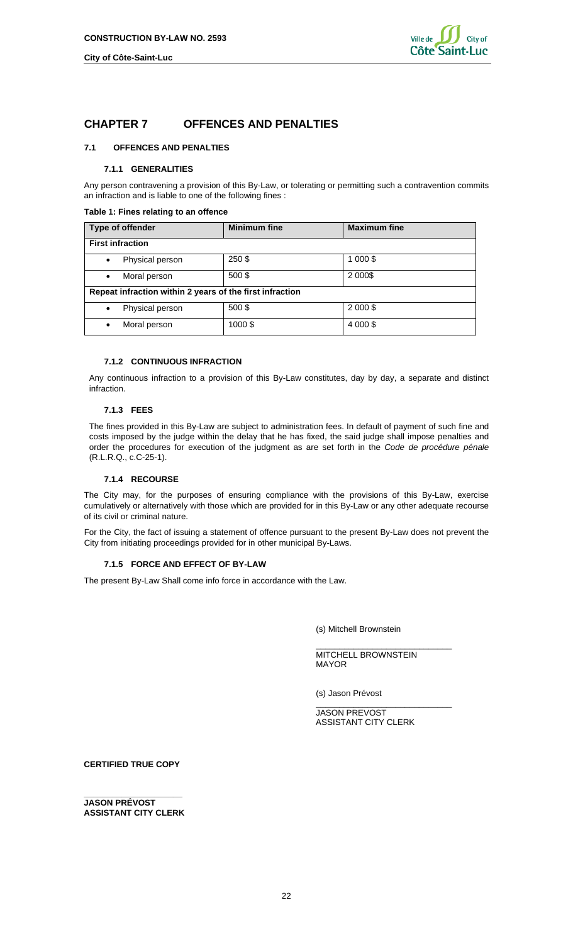## <span id="page-21-0"></span>**CHAPTER 7 OFFENCES AND PENALTIES**

## <span id="page-21-2"></span><span id="page-21-1"></span>**7.1 OFFENCES AND PENALTIES**

#### **7.1.1 GENERALITIES**

Any person contravening a provision of this By-Law, or tolerating or permitting such a contravention commits an infraction and is liable to one of the following fines :

## <span id="page-21-7"></span>**Table 1: Fines relating to an offence**

| Type of offender                                         | <b>Minimum fine</b> | <b>Maximum fine</b> |  |  |  |  |
|----------------------------------------------------------|---------------------|---------------------|--|--|--|--|
| <b>First infraction</b>                                  |                     |                     |  |  |  |  |
| Physical person<br>$\bullet$                             | 250\$               | 1 000 \$            |  |  |  |  |
| Moral person<br>$\bullet$                                | 500\$               | 2 0 0 0 \$          |  |  |  |  |
| Repeat infraction within 2 years of the first infraction |                     |                     |  |  |  |  |
| Physical person<br>$\bullet$                             | 500\$               | 2 000 \$            |  |  |  |  |
| Moral person<br>$\bullet$                                | 1000\$              | 4 000 \$            |  |  |  |  |

### <span id="page-21-3"></span>**7.1.2 CONTINUOUS INFRACTION**

Any continuous infraction to a provision of this By-Law constitutes, day by day, a separate and distinct infraction.

## <span id="page-21-4"></span>**7.1.3 FEES**

The fines provided in this By-Law are subject to administration fees. In default of payment of such fine and costs imposed by the judge within the delay that he has fixed, the said judge shall impose penalties and order the procedures for execution of the judgment as are set forth in the *Code de procédure pénale* (R.L.R.Q., c.C-25-1).

## **7.1.4 RECOURSE**

<span id="page-21-5"></span>The City may, for the purposes of ensuring compliance with the provisions of this By-Law, exercise cumulatively or alternatively with those which are provided for in this By-Law or any other adequate recourse of its civil or criminal nature.

For the City, the fact of issuing a statement of offence pursuant to the present By-Law does not prevent the City from initiating proceedings provided for in other municipal By-Laws.

## **7.1.5 FORCE AND EFFECT OF BY-LAW**

<span id="page-21-6"></span>The present By-Law Shall come info force in accordance with the Law.

(s) Mitchell Brownstein

\_\_\_\_\_\_\_\_\_\_\_\_\_\_\_\_\_\_\_\_\_\_\_\_\_\_\_\_\_ MITCHELL BROWNSTEIN MAYOR

(s) Jason Prévost

\_\_\_\_\_\_\_\_\_\_\_\_\_\_\_\_\_\_\_\_\_\_\_\_\_\_\_\_\_ JASON PREVOST ASSISTANT CITY CLERK

**CERTIFIED TRUE COPY**

**\_\_\_\_\_\_\_\_\_\_\_\_\_\_\_\_\_\_\_\_\_ JASON PRÉVOST ASSISTANT CITY CLERK**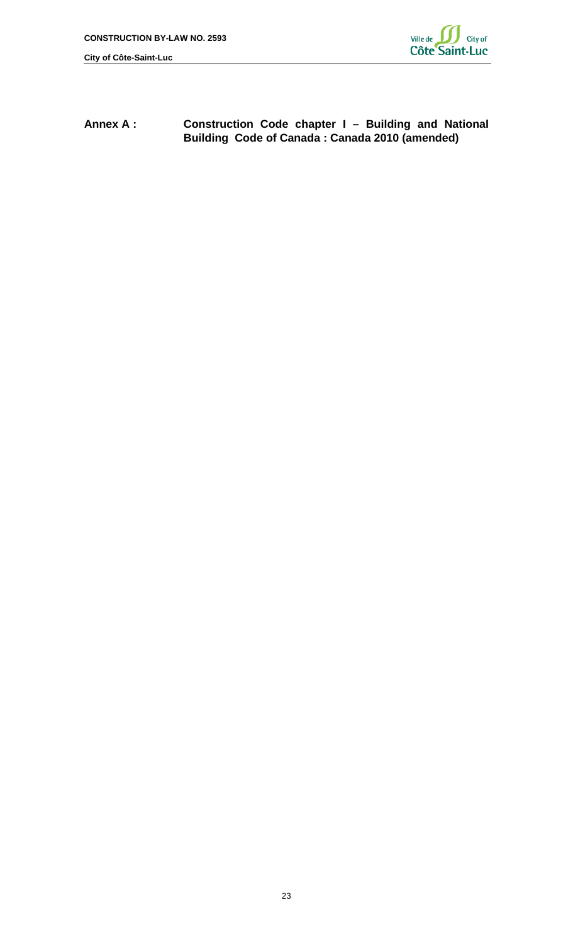![](_page_22_Picture_2.jpeg)

<span id="page-22-0"></span>**Annex A : Construction Code chapter I – Building and National Building Code of Canada : Canada 2010 (amended)**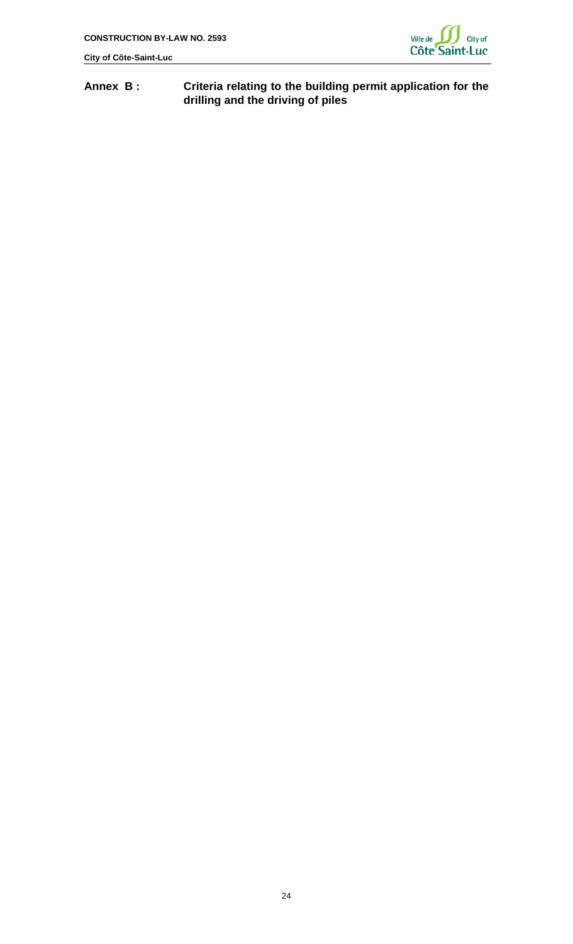![](_page_23_Picture_2.jpeg)

# <span id="page-23-0"></span>**Annex B : Criteria relating to the building permit application for the drilling and the driving of piles**